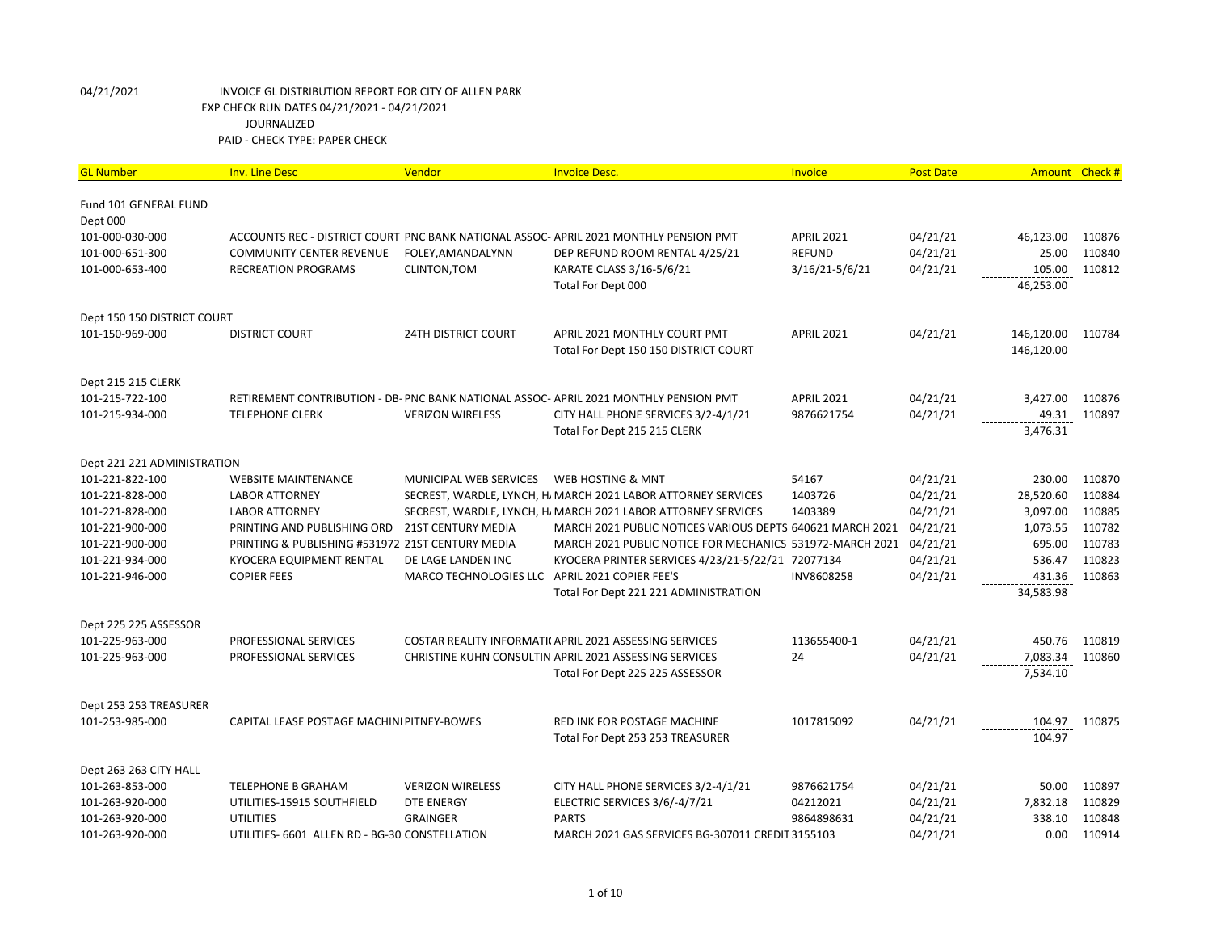| <b>GL Number</b>            | <b>Inv. Line Desc</b>                            | Vendor                     | <b>Invoice Desc.</b>                                                                  | Invoice           | <b>Post Date</b> |            | Amount Check # |
|-----------------------------|--------------------------------------------------|----------------------------|---------------------------------------------------------------------------------------|-------------------|------------------|------------|----------------|
| Fund 101 GENERAL FUND       |                                                  |                            |                                                                                       |                   |                  |            |                |
| Dept 000                    |                                                  |                            |                                                                                       |                   |                  |            |                |
| 101-000-030-000             |                                                  |                            | ACCOUNTS REC - DISTRICT COURT PNC BANK NATIONAL ASSOC-APRIL 2021 MONTHLY PENSION PMT  | <b>APRIL 2021</b> | 04/21/21         | 46,123.00  | 110876         |
| 101-000-651-300             | <b>COMMUNITY CENTER REVENUE</b>                  | FOLEY, AMANDALYNN          | DEP REFUND ROOM RENTAL 4/25/21                                                        | <b>REFUND</b>     | 04/21/21         | 25.00      | 110840         |
| 101-000-653-400             | RECREATION PROGRAMS                              | <b>CLINTON, TOM</b>        | KARATE CLASS 3/16-5/6/21                                                              | 3/16/21-5/6/21    | 04/21/21         | 105.00     | 110812         |
|                             |                                                  |                            | Total For Dept 000                                                                    |                   |                  | 46,253.00  |                |
| Dept 150 150 DISTRICT COURT |                                                  |                            |                                                                                       |                   |                  |            |                |
| 101-150-969-000             | <b>DISTRICT COURT</b>                            | <b>24TH DISTRICT COURT</b> | APRIL 2021 MONTHLY COURT PMT                                                          | <b>APRIL 2021</b> | 04/21/21         | 146,120.00 | 110784         |
|                             |                                                  |                            | Total For Dept 150 150 DISTRICT COURT                                                 |                   |                  | 146,120.00 |                |
| Dept 215 215 CLERK          |                                                  |                            |                                                                                       |                   |                  |            |                |
| 101-215-722-100             |                                                  |                            | RETIREMENT CONTRIBUTION - DB- PNC BANK NATIONAL ASSOC- APRIL 2021 MONTHLY PENSION PMT | <b>APRIL 2021</b> | 04/21/21         | 3,427.00   | 110876         |
| 101-215-934-000             | <b>TELEPHONE CLERK</b>                           | <b>VERIZON WIRELESS</b>    | CITY HALL PHONE SERVICES 3/2-4/1/21                                                   | 9876621754        | 04/21/21         | 49.31      | 110897         |
|                             |                                                  |                            | Total For Dept 215 215 CLERK                                                          |                   |                  | 3,476.31   |                |
| Dept 221 221 ADMINISTRATION |                                                  |                            |                                                                                       |                   |                  |            |                |
| 101-221-822-100             | <b>WEBSITE MAINTENANCE</b>                       | MUNICIPAL WEB SERVICES     | WEB HOSTING & MNT                                                                     | 54167             | 04/21/21         | 230.00     | 110870         |
| 101-221-828-000             | <b>LABOR ATTORNEY</b>                            |                            | SECREST, WARDLE, LYNCH, H. MARCH 2021 LABOR ATTORNEY SERVICES                         | 1403726           | 04/21/21         | 28,520.60  | 110884         |
| 101-221-828-000             | <b>LABOR ATTORNEY</b>                            |                            | SECREST, WARDLE, LYNCH, H. MARCH 2021 LABOR ATTORNEY SERVICES                         | 1403389           | 04/21/21         | 3,097.00   | 110885         |
| 101-221-900-000             | PRINTING AND PUBLISHING ORD                      | <b>21ST CENTURY MEDIA</b>  | MARCH 2021 PUBLIC NOTICES VARIOUS DEPTS 640621 MARCH 2021                             |                   | 04/21/21         | 1,073.55   | 110782         |
| 101-221-900-000             | PRINTING & PUBLISHING #531972 21ST CENTURY MEDIA |                            | MARCH 2021 PUBLIC NOTICE FOR MECHANICS 531972-MARCH 2021 04/21/21                     |                   |                  | 695.00     | 110783         |
| 101-221-934-000             | KYOCERA EQUIPMENT RENTAL                         | DE LAGE LANDEN INC         | KYOCERA PRINTER SERVICES 4/23/21-5/22/21 72077134                                     |                   | 04/21/21         | 536.47     | 110823         |
| 101-221-946-000             | <b>COPIER FEES</b>                               | MARCO TECHNOLOGIES LLC     | APRIL 2021 COPIER FEE'S                                                               | INV8608258        | 04/21/21         | 431.36     | 110863         |
|                             |                                                  |                            | Total For Dept 221 221 ADMINISTRATION                                                 |                   |                  | 34,583.98  |                |
| Dept 225 225 ASSESSOR       |                                                  |                            |                                                                                       |                   |                  |            |                |
| 101-225-963-000             | PROFESSIONAL SERVICES                            |                            | COSTAR REALITY INFORMATI( APRIL 2021 ASSESSING SERVICES                               | 113655400-1       | 04/21/21         | 450.76     | 110819         |
| 101-225-963-000             | PROFESSIONAL SERVICES                            |                            | CHRISTINE KUHN CONSULTIN APRIL 2021 ASSESSING SERVICES                                | 24                | 04/21/21         | 7,083.34   | 110860         |
|                             |                                                  |                            | Total For Dept 225 225 ASSESSOR                                                       |                   |                  | 7,534.10   |                |
| Dept 253 253 TREASURER      |                                                  |                            |                                                                                       |                   |                  |            |                |
| 101-253-985-000             | CAPITAL LEASE POSTAGE MACHINI PITNEY-BOWES       |                            | <b>RED INK FOR POSTAGE MACHINE</b>                                                    | 1017815092        | 04/21/21         | 104.97     | 110875         |
|                             |                                                  |                            | Total For Dept 253 253 TREASURER                                                      |                   |                  | 104.97     |                |
| Dept 263 263 CITY HALL      |                                                  |                            |                                                                                       |                   |                  |            |                |
| 101-263-853-000             | <b>TELEPHONE B GRAHAM</b>                        | <b>VERIZON WIRELESS</b>    | CITY HALL PHONE SERVICES 3/2-4/1/21                                                   | 9876621754        | 04/21/21         | 50.00      | 110897         |
| 101-263-920-000             | UTILITIES-15915 SOUTHFIELD                       | DTE ENERGY                 | ELECTRIC SERVICES 3/6/-4/7/21                                                         | 04212021          | 04/21/21         | 7,832.18   | 110829         |
| 101-263-920-000             | <b>UTILITIES</b>                                 | <b>GRAINGER</b>            | <b>PARTS</b>                                                                          | 9864898631        | 04/21/21         | 338.10     | 110848         |
| 101-263-920-000             | UTILITIES- 6601 ALLEN RD - BG-30 CONSTELLATION   |                            | MARCH 2021 GAS SERVICES BG-307011 CREDIT 3155103                                      |                   | 04/21/21         | 0.00       | 110914         |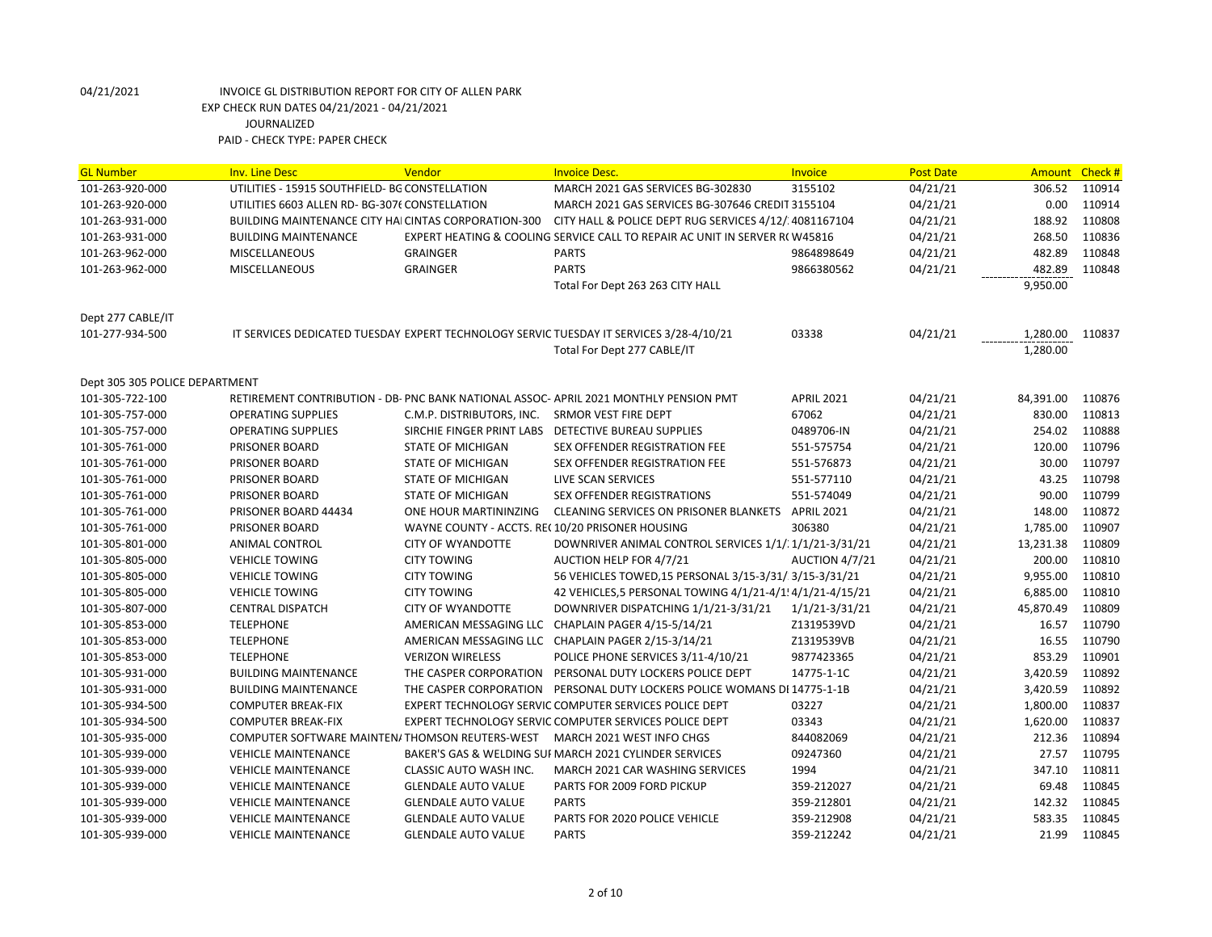| <b>GL Number</b>                                  | <b>Inv. Line Desc</b>                                                       | Vendor                                            | <b>Invoice Desc.</b>                                                                    | Invoice                      | <b>Post Date</b>     | <b>Amount</b>        | Check#           |
|---------------------------------------------------|-----------------------------------------------------------------------------|---------------------------------------------------|-----------------------------------------------------------------------------------------|------------------------------|----------------------|----------------------|------------------|
| 101-263-920-000                                   | UTILITIES - 15915 SOUTHFIELD- BG CONSTELLATION                              |                                                   | MARCH 2021 GAS SERVICES BG-302830                                                       | 3155102                      | 04/21/21             | 306.52               | 110914           |
| 101-263-920-000                                   | UTILITIES 6603 ALLEN RD- BG-3076 CONSTELLATION                              |                                                   | MARCH 2021 GAS SERVICES BG-307646 CREDIT 3155104                                        |                              | 04/21/21             | 0.00                 | 110914           |
| 101-263-931-000                                   | <b>BUILDING MAINTENANCE CITY HAI CINTAS CORPORATION-300</b>                 |                                                   | CITY HALL & POLICE DEPT RUG SERVICES 4/12/ 4081167104                                   |                              | 04/21/21             | 188.92               | 110808           |
| 101-263-931-000                                   | <b>BUILDING MAINTENANCE</b>                                                 |                                                   | EXPERT HEATING & COOLING SERVICE CALL TO REPAIR AC UNIT IN SERVER R(W45816              |                              | 04/21/21             | 268.50               | 110836           |
| 101-263-962-000                                   | <b>MISCELLANEOUS</b>                                                        | <b>GRAINGER</b>                                   | <b>PARTS</b>                                                                            | 9864898649                   | 04/21/21             | 482.89               | 110848           |
| 101-263-962-000                                   | <b>MISCELLANEOUS</b>                                                        | <b>GRAINGER</b>                                   | <b>PARTS</b>                                                                            | 9866380562                   | 04/21/21             | 482.89               | 110848           |
|                                                   |                                                                             |                                                   | Total For Dept 263 263 CITY HALL                                                        |                              |                      | 9,950.00             |                  |
|                                                   |                                                                             |                                                   |                                                                                         |                              |                      |                      |                  |
| Dept 277 CABLE/IT                                 |                                                                             |                                                   |                                                                                         |                              |                      |                      |                  |
| 101-277-934-500                                   |                                                                             |                                                   | IT SERVICES DEDICATED TUESDAY EXPERT TECHNOLOGY SERVIC TUESDAY IT SERVICES 3/28-4/10/21 | 03338                        | 04/21/21             | 1,280.00             | 110837           |
|                                                   |                                                                             |                                                   | Total For Dept 277 CABLE/IT                                                             |                              |                      | 1,280.00             |                  |
|                                                   |                                                                             |                                                   |                                                                                         |                              |                      |                      |                  |
| Dept 305 305 POLICE DEPARTMENT<br>101-305-722-100 |                                                                             |                                                   | RETIREMENT CONTRIBUTION - DB- PNC BANK NATIONAL ASSOC- APRIL 2021 MONTHLY PENSION PMT   | <b>APRIL 2021</b>            | 04/21/21             | 84,391.00            | 110876           |
| 101-305-757-000                                   | <b>OPERATING SUPPLIES</b>                                                   | C.M.P. DISTRIBUTORS, INC.                         | SRMOR VEST FIRE DEPT                                                                    | 67062                        | 04/21/21             | 830.00               | 110813           |
| 101-305-757-000                                   | <b>OPERATING SUPPLIES</b>                                                   | SIRCHIE FINGER PRINT LABS                         | DETECTIVE BUREAU SUPPLIES                                                               | 0489706-IN                   | 04/21/21             | 254.02               | 110888           |
| 101-305-761-000                                   | PRISONER BOARD                                                              | STATE OF MICHIGAN                                 | SEX OFFENDER REGISTRATION FEE                                                           | 551-575754                   | 04/21/21             | 120.00               | 110796           |
| 101-305-761-000                                   | PRISONER BOARD                                                              | <b>STATE OF MICHIGAN</b>                          | SEX OFFENDER REGISTRATION FEE                                                           | 551-576873                   | 04/21/21             | 30.00                | 110797           |
| 101-305-761-000                                   | PRISONER BOARD                                                              | <b>STATE OF MICHIGAN</b>                          | LIVE SCAN SERVICES                                                                      | 551-577110                   | 04/21/21             | 43.25                | 110798           |
| 101-305-761-000                                   | PRISONER BOARD                                                              | <b>STATE OF MICHIGAN</b>                          | SEX OFFENDER REGISTRATIONS                                                              | 551-574049                   | 04/21/21             | 90.00                | 110799           |
| 101-305-761-000                                   | PRISONER BOARD 44434                                                        | ONE HOUR MARTININZING                             | <b>CLEANING SERVICES ON PRISONER BLANKETS</b>                                           | <b>APRIL 2021</b>            | 04/21/21             | 148.00               | 110872           |
| 101-305-761-000                                   | PRISONER BOARD                                                              | WAYNE COUNTY - ACCTS. REC10/20 PRISONER HOUSING   |                                                                                         | 306380                       | 04/21/21             | 1,785.00             | 110907           |
| 101-305-801-000                                   | ANIMAL CONTROL                                                              | <b>CITY OF WYANDOTTE</b>                          | DOWNRIVER ANIMAL CONTROL SERVICES 1/1/1/21-3/31/21                                      |                              | 04/21/21             | 13,231.38            | 110809           |
| 101-305-805-000                                   | <b>VEHICLE TOWING</b>                                                       | <b>CITY TOWING</b>                                | AUCTION HELP FOR 4/7/21                                                                 | AUCTION 4/7/21               | 04/21/21             | 200.00               | 110810           |
| 101-305-805-000                                   | <b>VEHICLE TOWING</b>                                                       | <b>CITY TOWING</b>                                | 56 VEHICLES TOWED, 15 PERSONAL 3/15-3/31/: 3/15-3/31/21                                 |                              | 04/21/21             | 9,955.00             | 110810           |
| 101-305-805-000                                   | <b>VEHICLE TOWING</b>                                                       | <b>CITY TOWING</b>                                | 42 VEHICLES,5 PERSONAL TOWING 4/1/21-4/1! 4/1/21-4/15/21                                |                              | 04/21/21             | 6,885.00             | 110810           |
|                                                   |                                                                             |                                                   | DOWNRIVER DISPATCHING 1/1/21-3/31/21                                                    |                              | 04/21/21             | 45,870.49            | 110809           |
| 101-305-807-000<br>101-305-853-000                | <b>CENTRAL DISPATCH</b><br><b>TELEPHONE</b>                                 | <b>CITY OF WYANDOTTE</b>                          | AMERICAN MESSAGING LLC CHAPLAIN PAGER 4/15-5/14/21                                      | 1/1/21-3/31/21<br>Z1319539VD | 04/21/21             | 16.57                | 110790           |
| 101-305-853-000                                   | <b>TELEPHONE</b>                                                            |                                                   | AMERICAN MESSAGING LLC CHAPLAIN PAGER 2/15-3/14/21                                      | Z1319539VB                   | 04/21/21             | 16.55                | 110790           |
|                                                   | <b>TELEPHONE</b>                                                            |                                                   |                                                                                         |                              |                      |                      |                  |
| 101-305-853-000<br>101-305-931-000                | <b>BUILDING MAINTENANCE</b>                                                 | <b>VERIZON WIRELESS</b><br>THE CASPER CORPORATION | POLICE PHONE SERVICES 3/11-4/10/21<br>PERSONAL DUTY LOCKERS POLICE DEPT                 | 9877423365<br>14775-1-1C     | 04/21/21             | 853.29               | 110901<br>110892 |
|                                                   |                                                                             | THE CASPER CORPORATION                            | PERSONAL DUTY LOCKERS POLICE WOMANS DI 14775-1-1B                                       |                              | 04/21/21             | 3,420.59<br>3,420.59 | 110892           |
| 101-305-931-000                                   | <b>BUILDING MAINTENANCE</b>                                                 |                                                   |                                                                                         | 03227                        | 04/21/21<br>04/21/21 | 1,800.00             | 110837           |
| 101-305-934-500                                   | <b>COMPUTER BREAK-FIX</b>                                                   |                                                   | EXPERT TECHNOLOGY SERVIC COMPUTER SERVICES POLICE DEPT                                  |                              |                      | 1,620.00             | 110837           |
| 101-305-934-500                                   | <b>COMPUTER BREAK-FIX</b><br>COMPUTER SOFTWARE MAINTEN/THOMSON REUTERS-WEST |                                                   | EXPERT TECHNOLOGY SERVIC COMPUTER SERVICES POLICE DEPT<br>MARCH 2021 WEST INFO CHGS     | 03343<br>844082069           | 04/21/21<br>04/21/21 | 212.36               | 110894           |
| 101-305-935-000                                   |                                                                             |                                                   |                                                                                         |                              |                      |                      |                  |
| 101-305-939-000                                   | <b>VEHICLE MAINTENANCE</b>                                                  |                                                   | BAKER'S GAS & WELDING SUI MARCH 2021 CYLINDER SERVICES                                  | 09247360                     | 04/21/21             | 27.57                | 110795           |
| 101-305-939-000                                   | <b>VEHICLE MAINTENANCE</b>                                                  | CLASSIC AUTO WASH INC.                            | MARCH 2021 CAR WASHING SERVICES                                                         | 1994                         | 04/21/21             | 347.10               | 110811           |
| 101-305-939-000                                   | <b>VEHICLE MAINTENANCE</b>                                                  | <b>GLENDALE AUTO VALUE</b>                        | PARTS FOR 2009 FORD PICKUP                                                              | 359-212027                   | 04/21/21             | 69.48                | 110845           |
| 101-305-939-000                                   | <b>VEHICLE MAINTENANCE</b>                                                  | <b>GLENDALE AUTO VALUE</b>                        | <b>PARTS</b>                                                                            | 359-212801                   | 04/21/21             | 142.32               | 110845           |
| 101-305-939-000                                   | <b>VEHICLE MAINTENANCE</b>                                                  | <b>GLENDALE AUTO VALUE</b>                        | PARTS FOR 2020 POLICE VEHICLE                                                           | 359-212908                   | 04/21/21             | 583.35               | 110845           |
| 101-305-939-000                                   | <b>VEHICLE MAINTENANCE</b>                                                  | <b>GLENDALE AUTO VALUE</b>                        | <b>PARTS</b>                                                                            | 359-212242                   | 04/21/21             | 21.99                | 110845           |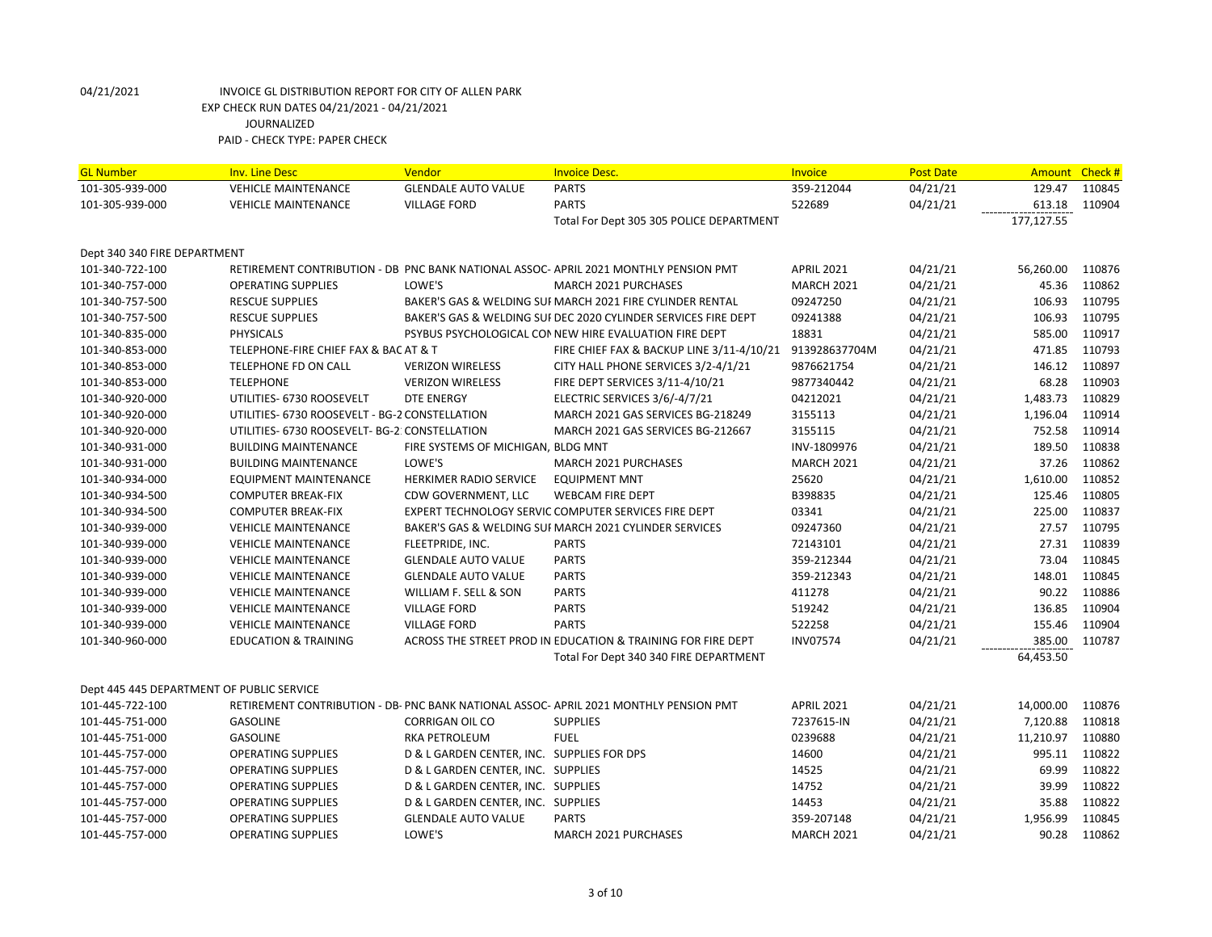| <b>GL Number</b>                          | <b>Inv. Line Desc</b>                          | Vendor                                     | <b>Invoice Desc.</b>                                                                  | <b>Invoice</b>    | <b>Post Date</b> |            | Amount Check # |
|-------------------------------------------|------------------------------------------------|--------------------------------------------|---------------------------------------------------------------------------------------|-------------------|------------------|------------|----------------|
| 101-305-939-000                           | <b>VEHICLE MAINTENANCE</b>                     | <b>GLENDALE AUTO VALUE</b>                 | <b>PARTS</b>                                                                          | 359-212044        | 04/21/21         | 129.47     | 110845         |
| 101-305-939-000                           | <b>VEHICLE MAINTENANCE</b>                     | <b>VILLAGE FORD</b>                        | <b>PARTS</b>                                                                          | 522689            | 04/21/21         | 613.18     | 110904         |
|                                           |                                                |                                            | Total For Dept 305 305 POLICE DEPARTMENT                                              |                   |                  | 177,127.55 |                |
| Dept 340 340 FIRE DEPARTMENT              |                                                |                                            |                                                                                       |                   |                  |            |                |
| 101-340-722-100                           |                                                |                                            | RETIREMENT CONTRIBUTION - DB PNC BANK NATIONAL ASSOC-APRIL 2021 MONTHLY PENSION PMT   | <b>APRIL 2021</b> | 04/21/21         | 56,260.00  | 110876         |
| 101-340-757-000                           | <b>OPERATING SUPPLIES</b>                      | LOWE'S                                     | <b>MARCH 2021 PURCHASES</b>                                                           | <b>MARCH 2021</b> | 04/21/21         | 45.36      | 110862         |
| 101-340-757-500                           | <b>RESCUE SUPPLIES</b>                         |                                            | BAKER'S GAS & WELDING SUI MARCH 2021 FIRE CYLINDER RENTAL                             | 09247250          | 04/21/21         | 106.93     | 110795         |
| 101-340-757-500                           | <b>RESCUE SUPPLIES</b>                         |                                            | BAKER'S GAS & WELDING SUF DEC 2020 CYLINDER SERVICES FIRE DEPT                        | 09241388          | 04/21/21         | 106.93     | 110795         |
| 101-340-835-000                           | <b>PHYSICALS</b>                               |                                            | PSYBUS PSYCHOLOGICAL CONNEW HIRE EVALUATION FIRE DEPT                                 | 18831             | 04/21/21         | 585.00     | 110917         |
| 101-340-853-000                           | TELEPHONE-FIRE CHIEF FAX & BAC AT & T          |                                            | FIRE CHIEF FAX & BACKUP LINE 3/11-4/10/21                                             | 913928637704M     | 04/21/21         | 471.85     | 110793         |
| 101-340-853-000                           | TELEPHONE FD ON CALL                           | <b>VERIZON WIRELESS</b>                    | CITY HALL PHONE SERVICES 3/2-4/1/21                                                   | 9876621754        | 04/21/21         | 146.12     | 110897         |
| 101-340-853-000                           | <b>TELEPHONE</b>                               | <b>VERIZON WIRELESS</b>                    | FIRE DEPT SERVICES 3/11-4/10/21                                                       | 9877340442        | 04/21/21         | 68.28      | 110903         |
| 101-340-920-000                           | UTILITIES- 6730 ROOSEVELT                      | <b>DTE ENERGY</b>                          | ELECTRIC SERVICES 3/6/-4/7/21                                                         | 04212021          | 04/21/21         | 1,483.73   | 110829         |
| 101-340-920-000                           | UTILITIES- 6730 ROOSEVELT - BG-2 CONSTELLATION |                                            | MARCH 2021 GAS SERVICES BG-218249                                                     | 3155113           | 04/21/21         | 1,196.04   | 110914         |
| 101-340-920-000                           | UTILITIES- 6730 ROOSEVELT- BG-2: CONSTELLATION |                                            | MARCH 2021 GAS SERVICES BG-212667                                                     | 3155115           | 04/21/21         | 752.58     | 110914         |
| 101-340-931-000                           | <b>BUILDING MAINTENANCE</b>                    | FIRE SYSTEMS OF MICHIGAN, BLDG MNT         |                                                                                       | INV-1809976       | 04/21/21         | 189.50     | 110838         |
| 101-340-931-000                           | <b>BUILDING MAINTENANCE</b>                    | LOWE'S                                     | MARCH 2021 PURCHASES                                                                  | <b>MARCH 2021</b> | 04/21/21         | 37.26      | 110862         |
| 101-340-934-000                           | <b>EQUIPMENT MAINTENANCE</b>                   | HERKIMER RADIO SERVICE                     | <b>EQUIPMENT MNT</b>                                                                  | 25620             | 04/21/21         | 1,610.00   | 110852         |
| 101-340-934-500                           | <b>COMPUTER BREAK-FIX</b>                      | CDW GOVERNMENT, LLC                        | <b>WEBCAM FIRE DEPT</b>                                                               | B398835           | 04/21/21         | 125.46     | 110805         |
| 101-340-934-500                           | <b>COMPUTER BREAK-FIX</b>                      |                                            | EXPERT TECHNOLOGY SERVIC COMPUTER SERVICES FIRE DEPT                                  | 03341             | 04/21/21         | 225.00     | 110837         |
| 101-340-939-000                           | <b>VEHICLE MAINTENANCE</b>                     |                                            | BAKER'S GAS & WELDING SUI MARCH 2021 CYLINDER SERVICES                                | 09247360          | 04/21/21         | 27.57      | 110795         |
| 101-340-939-000                           | <b>VEHICLE MAINTENANCE</b>                     | FLEETPRIDE, INC.                           | <b>PARTS</b>                                                                          | 72143101          | 04/21/21         | 27.31      | 110839         |
| 101-340-939-000                           | <b>VEHICLE MAINTENANCE</b>                     | <b>GLENDALE AUTO VALUE</b>                 | <b>PARTS</b>                                                                          | 359-212344        | 04/21/21         | 73.04      | 110845         |
| 101-340-939-000                           | <b>VEHICLE MAINTENANCE</b>                     | <b>GLENDALE AUTO VALUE</b>                 | <b>PARTS</b>                                                                          | 359-212343        | 04/21/21         | 148.01     | 110845         |
| 101-340-939-000                           | <b>VEHICLE MAINTENANCE</b>                     | WILLIAM F. SELL & SON                      | <b>PARTS</b>                                                                          | 411278            | 04/21/21         | 90.22      | 110886         |
| 101-340-939-000                           | <b>VEHICLE MAINTENANCE</b>                     | <b>VILLAGE FORD</b>                        | <b>PARTS</b>                                                                          | 519242            | 04/21/21         | 136.85     | 110904         |
| 101-340-939-000                           | <b>VEHICLE MAINTENANCE</b>                     | <b>VILLAGE FORD</b>                        | <b>PARTS</b>                                                                          | 522258            | 04/21/21         | 155.46     | 110904         |
| 101-340-960-000                           | <b>EDUCATION &amp; TRAINING</b>                |                                            | ACROSS THE STREET PROD IN EDUCATION & TRAINING FOR FIRE DEPT                          | <b>INV07574</b>   | 04/21/21         | 385.00     | 110787         |
|                                           |                                                |                                            | Total For Dept 340 340 FIRE DEPARTMENT                                                |                   |                  | 64,453.50  |                |
| Dept 445 445 DEPARTMENT OF PUBLIC SERVICE |                                                |                                            |                                                                                       |                   |                  |            |                |
| 101-445-722-100                           |                                                |                                            | RETIREMENT CONTRIBUTION - DB- PNC BANK NATIONAL ASSOC- APRIL 2021 MONTHLY PENSION PMT | <b>APRIL 2021</b> | 04/21/21         | 14,000.00  | 110876         |
| 101-445-751-000                           | <b>GASOLINE</b>                                | <b>CORRIGAN OIL CO</b>                     | <b>SUPPLIES</b>                                                                       | 7237615-IN        | 04/21/21         | 7,120.88   | 110818         |
| 101-445-751-000                           | <b>GASOLINE</b>                                | RKA PETROLEUM                              | <b>FUEL</b>                                                                           | 0239688           | 04/21/21         | 11,210.97  | 110880         |
| 101-445-757-000                           | <b>OPERATING SUPPLIES</b>                      | D & L GARDEN CENTER, INC. SUPPLIES FOR DPS |                                                                                       | 14600             | 04/21/21         | 995.11     | 110822         |
| 101-445-757-000                           | <b>OPERATING SUPPLIES</b>                      | D & L GARDEN CENTER, INC. SUPPLIES         |                                                                                       | 14525             | 04/21/21         | 69.99      | 110822         |
| 101-445-757-000                           | <b>OPERATING SUPPLIES</b>                      | D & L GARDEN CENTER, INC. SUPPLIES         |                                                                                       | 14752             | 04/21/21         | 39.99      | 110822         |
| 101-445-757-000                           | <b>OPERATING SUPPLIES</b>                      | D & L GARDEN CENTER, INC. SUPPLIES         |                                                                                       | 14453             | 04/21/21         | 35.88      | 110822         |
| 101-445-757-000                           | <b>OPERATING SUPPLIES</b>                      | <b>GLENDALE AUTO VALUE</b>                 | <b>PARTS</b>                                                                          | 359-207148        | 04/21/21         | 1,956.99   | 110845         |
| 101-445-757-000                           | <b>OPERATING SUPPLIES</b>                      | LOWE'S                                     | MARCH 2021 PURCHASES                                                                  | <b>MARCH 2021</b> | 04/21/21         | 90.28      | 110862         |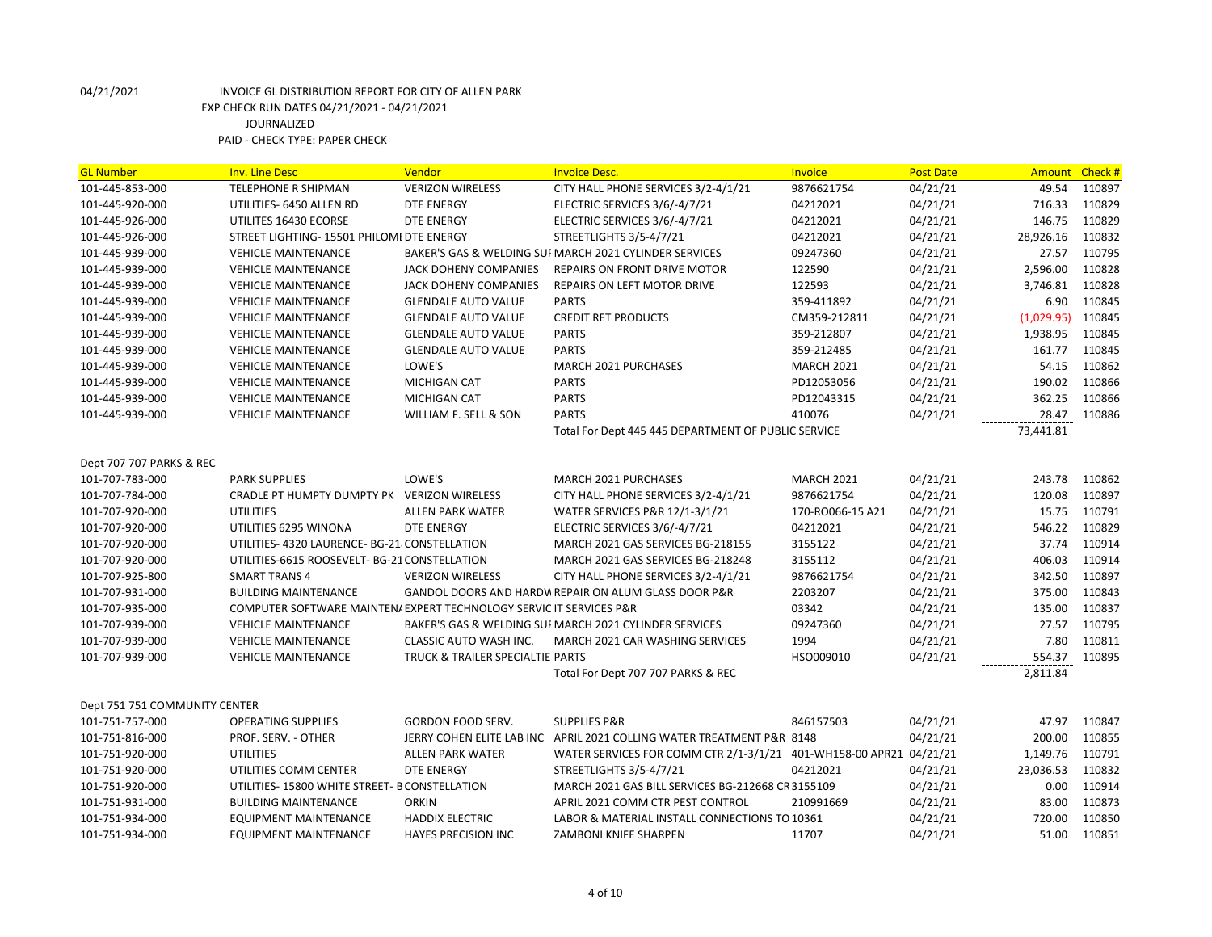| <b>GL Number</b>              | <b>Inv. Line Desc</b>                                               | Vendor                           | <b>Invoice Desc.</b>                                                  | <b>Invoice</b>    | <b>Post Date</b> | Amount     | Check # |
|-------------------------------|---------------------------------------------------------------------|----------------------------------|-----------------------------------------------------------------------|-------------------|------------------|------------|---------|
| 101-445-853-000               | TELEPHONE R SHIPMAN                                                 | <b>VERIZON WIRELESS</b>          | CITY HALL PHONE SERVICES 3/2-4/1/21                                   | 9876621754        | 04/21/21         | 49.54      | 110897  |
| 101-445-920-000               | UTILITIES- 6450 ALLEN RD                                            | <b>DTE ENERGY</b>                | ELECTRIC SERVICES 3/6/-4/7/21                                         | 04212021          | 04/21/21         | 716.33     | 110829  |
| 101-445-926-000               | UTILITES 16430 ECORSE                                               | DTE ENERGY                       | ELECTRIC SERVICES 3/6/-4/7/21                                         | 04212021          | 04/21/21         | 146.75     | 110829  |
| 101-445-926-000               | STREET LIGHTING- 15501 PHILOMI DTE ENERGY                           |                                  | STREETLIGHTS 3/5-4/7/21                                               | 04212021          | 04/21/21         | 28,926.16  | 110832  |
| 101-445-939-000               | <b>VEHICLE MAINTENANCE</b>                                          |                                  | BAKER'S GAS & WELDING SUI MARCH 2021 CYLINDER SERVICES                | 09247360          | 04/21/21         | 27.57      | 110795  |
| 101-445-939-000               | <b>VEHICLE MAINTENANCE</b>                                          | JACK DOHENY COMPANIES            | REPAIRS ON FRONT DRIVE MOTOR                                          | 122590            | 04/21/21         | 2,596.00   | 110828  |
| 101-445-939-000               | <b>VEHICLE MAINTENANCE</b>                                          | JACK DOHENY COMPANIES            | REPAIRS ON LEFT MOTOR DRIVE                                           | 122593            | 04/21/21         | 3,746.81   | 110828  |
| 101-445-939-000               | <b>VEHICLE MAINTENANCE</b>                                          | <b>GLENDALE AUTO VALUE</b>       | <b>PARTS</b>                                                          | 359-411892        | 04/21/21         | 6.90       | 110845  |
| 101-445-939-000               | <b>VEHICLE MAINTENANCE</b>                                          | <b>GLENDALE AUTO VALUE</b>       | <b>CREDIT RET PRODUCTS</b>                                            | CM359-212811      | 04/21/21         | (1,029.95) | 110845  |
| 101-445-939-000               | <b>VEHICLE MAINTENANCE</b>                                          | <b>GLENDALE AUTO VALUE</b>       | <b>PARTS</b>                                                          | 359-212807        | 04/21/21         | 1,938.95   | 110845  |
| 101-445-939-000               | <b>VEHICLE MAINTENANCE</b>                                          | <b>GLENDALE AUTO VALUE</b>       | <b>PARTS</b>                                                          | 359-212485        | 04/21/21         | 161.77     | 110845  |
| 101-445-939-000               | <b>VEHICLE MAINTENANCE</b>                                          | LOWE'S                           | <b>MARCH 2021 PURCHASES</b>                                           | <b>MARCH 2021</b> | 04/21/21         | 54.15      | 110862  |
| 101-445-939-000               | <b>VEHICLE MAINTENANCE</b>                                          | <b>MICHIGAN CAT</b>              | <b>PARTS</b>                                                          | PD12053056        | 04/21/21         | 190.02     | 110866  |
| 101-445-939-000               | <b>VEHICLE MAINTENANCE</b>                                          | <b>MICHIGAN CAT</b>              | <b>PARTS</b>                                                          | PD12043315        | 04/21/21         | 362.25     | 110866  |
| 101-445-939-000               | <b>VEHICLE MAINTENANCE</b>                                          | WILLIAM F. SELL & SON            | <b>PARTS</b>                                                          | 410076            | 04/21/21         | 28.47      | 110886  |
|                               |                                                                     |                                  | Total For Dept 445 445 DEPARTMENT OF PUBLIC SERVICE                   |                   |                  | 73,441.81  |         |
|                               |                                                                     |                                  |                                                                       |                   |                  |            |         |
| Dept 707 707 PARKS & REC      |                                                                     |                                  |                                                                       |                   |                  |            |         |
| 101-707-783-000               | <b>PARK SUPPLIES</b>                                                | LOWE'S                           | <b>MARCH 2021 PURCHASES</b>                                           | <b>MARCH 2021</b> | 04/21/21         | 243.78     | 110862  |
| 101-707-784-000               | CRADLE PT HUMPTY DUMPTY PK VERIZON WIRELESS                         |                                  | CITY HALL PHONE SERVICES 3/2-4/1/21                                   | 9876621754        | 04/21/21         | 120.08     | 110897  |
| 101-707-920-000               | <b>UTILITIES</b>                                                    | <b>ALLEN PARK WATER</b>          | WATER SERVICES P&R 12/1-3/1/21                                        | 170-RO066-15 A21  | 04/21/21         | 15.75      | 110791  |
| 101-707-920-000               | UTILITIES 6295 WINONA                                               | <b>DTE ENERGY</b>                | ELECTRIC SERVICES 3/6/-4/7/21                                         | 04212021          | 04/21/21         | 546.22     | 110829  |
| 101-707-920-000               | UTILITIES- 4320 LAURENCE- BG-21 CONSTELLATION                       |                                  | MARCH 2021 GAS SERVICES BG-218155                                     | 3155122           | 04/21/21         | 37.74      | 110914  |
| 101-707-920-000               | UTILITIES-6615 ROOSEVELT- BG-21 CONSTELLATION                       |                                  | MARCH 2021 GAS SERVICES BG-218248                                     | 3155112           | 04/21/21         | 406.03     | 110914  |
| 101-707-925-800               | <b>SMART TRANS 4</b>                                                | <b>VERIZON WIRELESS</b>          | CITY HALL PHONE SERVICES 3/2-4/1/21                                   | 9876621754        | 04/21/21         | 342.50     | 110897  |
| 101-707-931-000               | <b>BUILDING MAINTENANCE</b>                                         |                                  | GANDOL DOORS AND HARDW REPAIR ON ALUM GLASS DOOR P&R                  | 2203207           | 04/21/21         | 375.00     | 110843  |
| 101-707-935-000               | COMPUTER SOFTWARE MAINTEN/ EXPERT TECHNOLOGY SERVIC IT SERVICES P&R |                                  |                                                                       | 03342             | 04/21/21         | 135.00     | 110837  |
| 101-707-939-000               | <b>VEHICLE MAINTENANCE</b>                                          |                                  | BAKER'S GAS & WELDING SUI MARCH 2021 CYLINDER SERVICES                | 09247360          | 04/21/21         | 27.57      | 110795  |
| 101-707-939-000               | <b>VEHICLE MAINTENANCE</b>                                          | CLASSIC AUTO WASH INC.           | MARCH 2021 CAR WASHING SERVICES                                       | 1994              | 04/21/21         | 7.80       | 110811  |
| 101-707-939-000               | <b>VEHICLE MAINTENANCE</b>                                          | TRUCK & TRAILER SPECIALTIE PARTS |                                                                       | HSO009010         | 04/21/21         | 554.37     | 110895  |
|                               |                                                                     |                                  | Total For Dept 707 707 PARKS & REC                                    |                   |                  | 2,811.84   |         |
|                               |                                                                     |                                  |                                                                       |                   |                  |            |         |
| Dept 751 751 COMMUNITY CENTER |                                                                     |                                  |                                                                       |                   |                  |            |         |
| 101-751-757-000               | <b>OPERATING SUPPLIES</b>                                           | <b>GORDON FOOD SERV.</b>         | <b>SUPPLIES P&amp;R</b>                                               | 846157503         | 04/21/21         | 47.97      | 110847  |
| 101-751-816-000               | PROF. SERV. - OTHER                                                 |                                  | JERRY COHEN ELITE LAB INC APRIL 2021 COLLING WATER TREATMENT P&R 8148 |                   | 04/21/21         | 200.00     | 110855  |
| 101-751-920-000               | <b>UTILITIES</b>                                                    | <b>ALLEN PARK WATER</b>          | WATER SERVICES FOR COMM CTR 2/1-3/1/21  401-WH158-00 APR21  04/21/21  |                   |                  | 1,149.76   | 110791  |
| 101-751-920-000               | UTILITIES COMM CENTER                                               | DTE ENERGY                       | STREETLIGHTS 3/5-4/7/21                                               | 04212021          | 04/21/21         | 23,036.53  | 110832  |
| 101-751-920-000               | UTILITIES-15800 WHITE STREET- B CONSTELLATION                       |                                  | MARCH 2021 GAS BILL SERVICES BG-212668 CR 3155109                     |                   | 04/21/21         | 0.00       | 110914  |
| 101-751-931-000               | <b>BUILDING MAINTENANCE</b>                                         | <b>ORKIN</b>                     | APRIL 2021 COMM CTR PEST CONTROL                                      | 210991669         | 04/21/21         | 83.00      | 110873  |
| 101-751-934-000               | <b>EQUIPMENT MAINTENANCE</b>                                        | <b>HADDIX ELECTRIC</b>           | LABOR & MATERIAL INSTALL CONNECTIONS TO 10361                         |                   | 04/21/21         | 720.00     | 110850  |
| 101-751-934-000               | <b>EQUIPMENT MAINTENANCE</b>                                        | <b>HAYES PRECISION INC</b>       | ZAMBONI KNIFE SHARPEN                                                 | 11707             | 04/21/21         | 51.00      | 110851  |
|                               |                                                                     |                                  |                                                                       |                   |                  |            |         |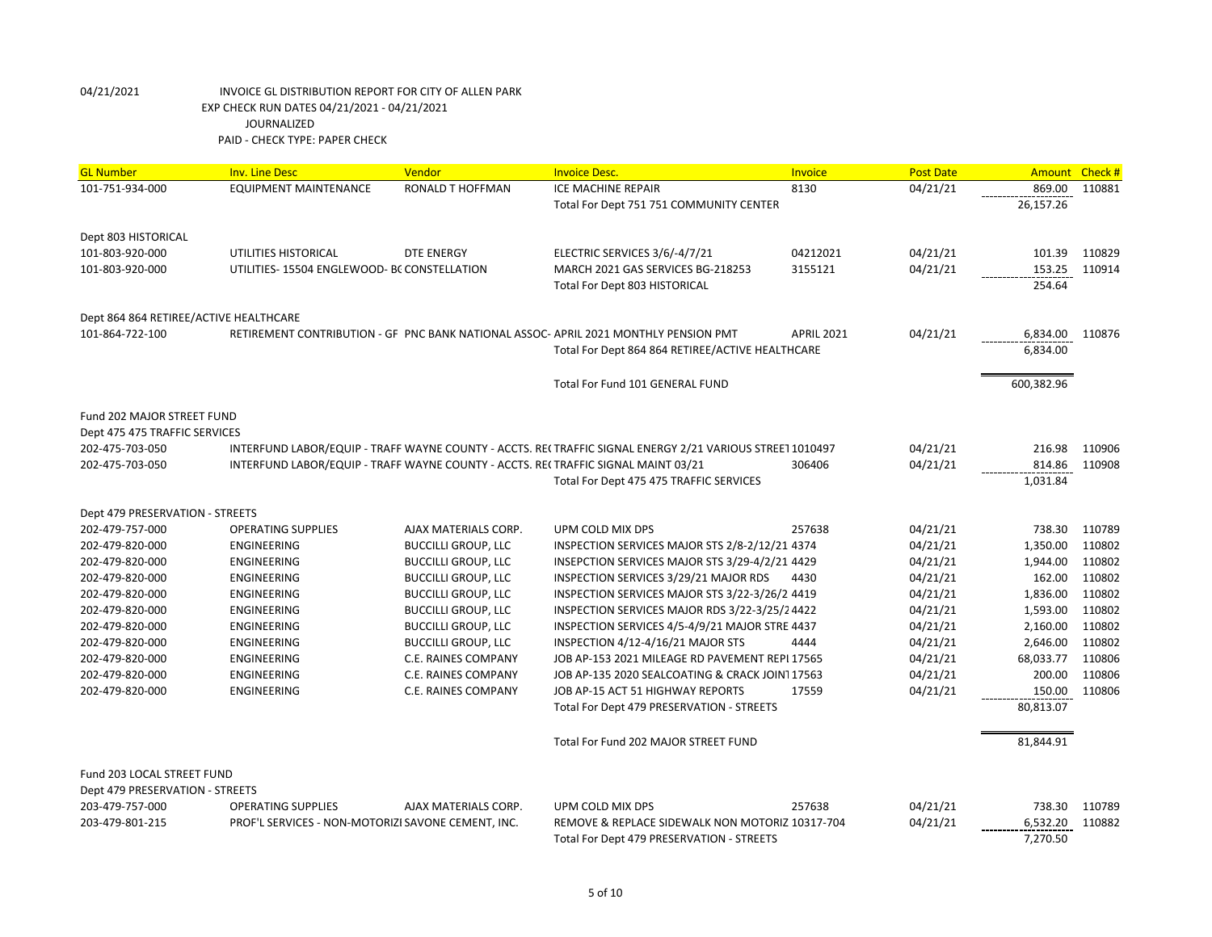| <b>GL Number</b>                       | <b>Inv. Line Desc</b>                                                              | Vendor                                            | <b>Invoice Desc.</b>                                                                                     | <b>Invoice</b>    | <b>Post Date</b> | <b>Amount</b>    | Check#           |
|----------------------------------------|------------------------------------------------------------------------------------|---------------------------------------------------|----------------------------------------------------------------------------------------------------------|-------------------|------------------|------------------|------------------|
| 101-751-934-000                        | <b>EQUIPMENT MAINTENANCE</b>                                                       | <b>RONALD T HOFFMAN</b>                           | <b>ICE MACHINE REPAIR</b>                                                                                | 8130              | 04/21/21         | 869.00           | 110881           |
|                                        |                                                                                    |                                                   | Total For Dept 751 751 COMMUNITY CENTER                                                                  |                   |                  | 26,157.26        |                  |
|                                        |                                                                                    |                                                   |                                                                                                          |                   |                  |                  |                  |
| Dept 803 HISTORICAL<br>101-803-920-000 | UTILITIES HISTORICAL                                                               | <b>DTE ENERGY</b>                                 | ELECTRIC SERVICES 3/6/-4/7/21                                                                            | 04212021          | 04/21/21         | 101.39           | 110829           |
| 101-803-920-000                        | UTILITIES-15504 ENGLEWOOD- BC CONSTELLATION                                        |                                                   | MARCH 2021 GAS SERVICES BG-218253                                                                        | 3155121           | 04/21/21         |                  | 153.25 110914    |
|                                        |                                                                                    |                                                   | Total For Dept 803 HISTORICAL                                                                            |                   |                  | 254.64           |                  |
|                                        |                                                                                    |                                                   |                                                                                                          |                   |                  |                  |                  |
| Dept 864 864 RETIREE/ACTIVE HEALTHCARE |                                                                                    |                                                   |                                                                                                          |                   |                  |                  |                  |
| 101-864-722-100                        |                                                                                    |                                                   | RETIREMENT CONTRIBUTION - GF PNC BANK NATIONAL ASSOC-APRIL 2021 MONTHLY PENSION PMT                      | <b>APRIL 2021</b> | 04/21/21         | 6,834.00         | 110876           |
|                                        |                                                                                    |                                                   | Total For Dept 864 864 RETIREE/ACTIVE HEALTHCARE                                                         |                   |                  | 6,834.00         |                  |
|                                        |                                                                                    |                                                   |                                                                                                          |                   |                  |                  |                  |
|                                        |                                                                                    |                                                   | Total For Fund 101 GENERAL FUND                                                                          |                   |                  | 600,382.96       |                  |
| Fund 202 MAJOR STREET FUND             |                                                                                    |                                                   |                                                                                                          |                   |                  |                  |                  |
| Dept 475 475 TRAFFIC SERVICES          |                                                                                    |                                                   |                                                                                                          |                   |                  |                  |                  |
| 202-475-703-050                        |                                                                                    |                                                   | INTERFUND LABOR/EQUIP - TRAFF WAYNE COUNTY - ACCTS. RE(TRAFFIC SIGNAL ENERGY 2/21 VARIOUS STREET 1010497 |                   | 04/21/21         | 216.98           | 110906           |
| 202-475-703-050                        | INTERFUND LABOR/EQUIP - TRAFF WAYNE COUNTY - ACCTS. REI TRAFFIC SIGNAL MAINT 03/21 |                                                   |                                                                                                          | 306406            | 04/21/21         | 814.86           | 110908           |
|                                        |                                                                                    |                                                   | Total For Dept 475 475 TRAFFIC SERVICES                                                                  |                   |                  | 1,031.84         |                  |
|                                        |                                                                                    |                                                   |                                                                                                          |                   |                  |                  |                  |
| Dept 479 PRESERVATION - STREETS        |                                                                                    |                                                   |                                                                                                          |                   |                  |                  |                  |
| 202-479-757-000                        | <b>OPERATING SUPPLIES</b>                                                          | AJAX MATERIALS CORP.                              | UPM COLD MIX DPS                                                                                         | 257638            | 04/21/21         | 738.30           | 110789           |
| 202-479-820-000                        | <b>ENGINEERING</b>                                                                 | <b>BUCCILLI GROUP, LLC</b>                        | INSPECTION SERVICES MAJOR STS 2/8-2/12/21 4374                                                           |                   | 04/21/21         | 1,350.00         | 110802           |
| 202-479-820-000                        | <b>ENGINEERING</b>                                                                 | <b>BUCCILLI GROUP, LLC</b>                        | INSEPCTION SERVICES MAJOR STS 3/29-4/2/21 4429                                                           |                   | 04/21/21         | 1,944.00         | 110802           |
| 202-479-820-000                        | <b>ENGINEERING</b>                                                                 | <b>BUCCILLI GROUP, LLC</b>                        | INSPECTION SERVICES 3/29/21 MAJOR RDS                                                                    | 4430              | 04/21/21         | 162.00           | 110802           |
| 202-479-820-000                        | <b>ENGINEERING</b>                                                                 | <b>BUCCILLI GROUP, LLC</b>                        | INSPECTION SERVICES MAJOR STS 3/22-3/26/2 4419                                                           |                   | 04/21/21         | 1,836.00         | 110802           |
| 202-479-820-000                        | <b>ENGINEERING</b>                                                                 | <b>BUCCILLI GROUP, LLC</b>                        | INSPECTION SERVICES MAJOR RDS 3/22-3/25/24422                                                            |                   | 04/21/21         | 1,593.00         | 110802           |
| 202-479-820-000                        | <b>ENGINEERING</b>                                                                 | <b>BUCCILLI GROUP, LLC</b>                        | INSPECTION SERVICES 4/5-4/9/21 MAJOR STRE 4437                                                           |                   | 04/21/21         | 2,160.00         | 110802           |
| 202-479-820-000                        | <b>ENGINEERING</b>                                                                 | <b>BUCCILLI GROUP, LLC</b>                        | INSPECTION 4/12-4/16/21 MAJOR STS                                                                        | 4444              | 04/21/21         | 2,646.00         | 110802           |
| 202-479-820-000                        | <b>ENGINEERING</b>                                                                 | C.E. RAINES COMPANY                               | JOB AP-153 2021 MILEAGE RD PAVEMENT REPL17565                                                            |                   | 04/21/21         | 68,033.77        | 110806           |
| 202-479-820-000<br>202-479-820-000     | <b>ENGINEERING</b><br>ENGINEERING                                                  | <b>C.E. RAINES COMPANY</b><br>C.E. RAINES COMPANY | JOB AP-135 2020 SEALCOATING & CRACK JOIN117563<br>JOB AP-15 ACT 51 HIGHWAY REPORTS                       | 17559             | 04/21/21         | 200.00<br>150.00 | 110806<br>110806 |
|                                        |                                                                                    |                                                   | Total For Dept 479 PRESERVATION - STREETS                                                                |                   | 04/21/21         | 80,813.07        |                  |
|                                        |                                                                                    |                                                   |                                                                                                          |                   |                  |                  |                  |
|                                        |                                                                                    |                                                   | Total For Fund 202 MAJOR STREET FUND                                                                     |                   |                  | 81,844.91        |                  |
| Fund 203 LOCAL STREET FUND             |                                                                                    |                                                   |                                                                                                          |                   |                  |                  |                  |
| Dept 479 PRESERVATION - STREETS        |                                                                                    |                                                   |                                                                                                          |                   |                  |                  |                  |
| 203-479-757-000                        | <b>OPERATING SUPPLIES</b>                                                          | AJAX MATERIALS CORP.                              | UPM COLD MIX DPS                                                                                         | 257638            | 04/21/21         | 738.30           | 110789           |
| 203-479-801-215                        | PROF'L SERVICES - NON-MOTORIZI SAVONE CEMENT, INC.                                 |                                                   | REMOVE & REPLACE SIDEWALK NON MOTORIZ 10317-704                                                          |                   | 04/21/21         | 6,532.20         | 110882           |
|                                        |                                                                                    |                                                   | Total For Dept 479 PRESERVATION - STREETS                                                                |                   |                  | 7,270.50         |                  |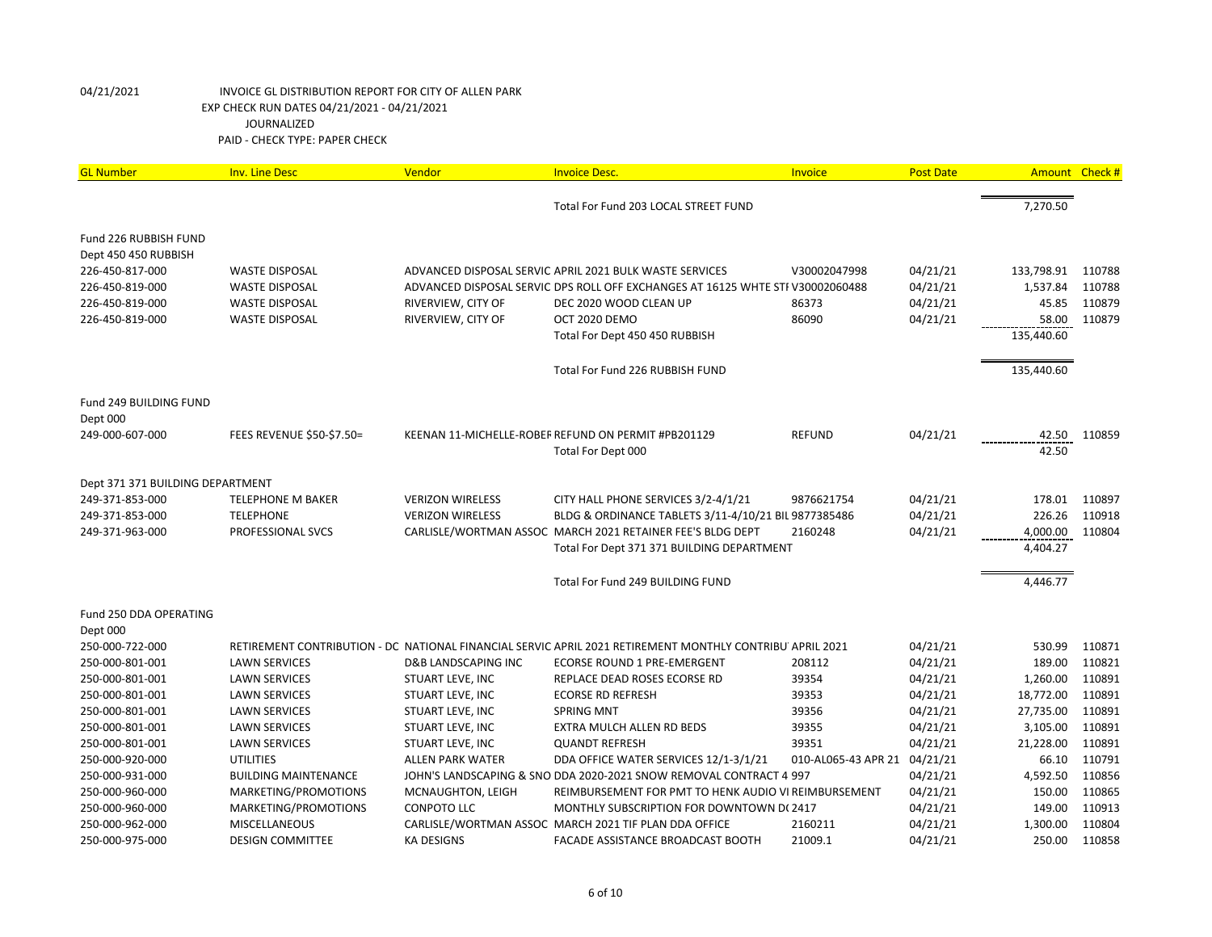| <b>GL Number</b>                 | <b>Inv. Line Desc</b>       | Vendor                         | <b>Invoice Desc.</b>                                                                                     | Invoice                      | <b>Post Date</b> |            | Amount Check # |
|----------------------------------|-----------------------------|--------------------------------|----------------------------------------------------------------------------------------------------------|------------------------------|------------------|------------|----------------|
|                                  |                             |                                | Total For Fund 203 LOCAL STREET FUND                                                                     |                              |                  | 7,270.50   |                |
| Fund 226 RUBBISH FUND            |                             |                                |                                                                                                          |                              |                  |            |                |
| Dept 450 450 RUBBISH             |                             |                                |                                                                                                          |                              |                  |            |                |
| 226-450-817-000                  | <b>WASTE DISPOSAL</b>       |                                | ADVANCED DISPOSAL SERVIC APRIL 2021 BULK WASTE SERVICES                                                  | V30002047998                 | 04/21/21         | 133,798.91 | 110788         |
| 226-450-819-000                  | <b>WASTE DISPOSAL</b>       |                                | ADVANCED DISPOSAL SERVIC DPS ROLL OFF EXCHANGES AT 16125 WHTE STF V30002060488                           |                              | 04/21/21         | 1,537.84   | 110788         |
| 226-450-819-000                  | <b>WASTE DISPOSAL</b>       | RIVERVIEW, CITY OF             | DEC 2020 WOOD CLEAN UP                                                                                   | 86373                        | 04/21/21         | 45.85      | 110879         |
| 226-450-819-000                  | <b>WASTE DISPOSAL</b>       | RIVERVIEW, CITY OF             | OCT 2020 DEMO                                                                                            | 86090                        | 04/21/21         | 58.00      | 110879         |
|                                  |                             |                                | Total For Dept 450 450 RUBBISH                                                                           |                              |                  | 135,440.60 |                |
|                                  |                             |                                | Total For Fund 226 RUBBISH FUND                                                                          |                              |                  | 135,440.60 |                |
| Fund 249 BUILDING FUND           |                             |                                |                                                                                                          |                              |                  |            |                |
| Dept 000                         |                             |                                |                                                                                                          |                              |                  |            |                |
| 249-000-607-000                  | FEES REVENUE \$50-\$7.50=   |                                | KEENAN 11-MICHELLE-ROBEF REFUND ON PERMIT #PB201129                                                      | <b>REFUND</b>                | 04/21/21         | 42.50      | 110859         |
|                                  |                             |                                | Total For Dept 000                                                                                       |                              |                  | 42.50      |                |
| Dept 371 371 BUILDING DEPARTMENT |                             |                                |                                                                                                          |                              |                  |            |                |
| 249-371-853-000                  | <b>TELEPHONE M BAKER</b>    | <b>VERIZON WIRELESS</b>        | CITY HALL PHONE SERVICES 3/2-4/1/21                                                                      | 9876621754                   | 04/21/21         | 178.01     | 110897         |
| 249-371-853-000                  | <b>TELEPHONE</b>            | <b>VERIZON WIRELESS</b>        | BLDG & ORDINANCE TABLETS 3/11-4/10/21 BIL 9877385486                                                     |                              | 04/21/21         | 226.26     | 110918         |
| 249-371-963-000                  | PROFESSIONAL SVCS           |                                | CARLISLE/WORTMAN ASSOC MARCH 2021 RETAINER FEE'S BLDG DEPT                                               | 2160248                      | 04/21/21         | 4,000.00   | 110804         |
|                                  |                             |                                | Total For Dept 371 371 BUILDING DEPARTMENT                                                               |                              |                  | 4,404.27   |                |
|                                  |                             |                                | Total For Fund 249 BUILDING FUND                                                                         |                              |                  | 4,446.77   |                |
| Fund 250 DDA OPERATING           |                             |                                |                                                                                                          |                              |                  |            |                |
| Dept 000                         |                             |                                |                                                                                                          |                              |                  |            |                |
| 250-000-722-000                  |                             |                                | RETIREMENT CONTRIBUTION - DC NATIONAL FINANCIAL SERVIC APRIL 2021 RETIREMENT MONTHLY CONTRIBU APRIL 2021 |                              | 04/21/21         | 530.99     | 110871         |
| 250-000-801-001                  | <b>LAWN SERVICES</b>        | <b>D&amp;B LANDSCAPING INC</b> | <b>ECORSE ROUND 1 PRE-EMERGENT</b>                                                                       | 208112                       | 04/21/21         | 189.00     | 110821         |
| 250-000-801-001                  | <b>LAWN SERVICES</b>        | STUART LEVE, INC               | REPLACE DEAD ROSES ECORSE RD                                                                             | 39354                        | 04/21/21         | 1,260.00   | 110891         |
| 250-000-801-001                  | <b>LAWN SERVICES</b>        | STUART LEVE, INC               | <b>ECORSE RD REFRESH</b>                                                                                 | 39353                        | 04/21/21         | 18,772.00  | 110891         |
| 250-000-801-001                  | <b>LAWN SERVICES</b>        | STUART LEVE, INC               | <b>SPRING MNT</b>                                                                                        | 39356                        | 04/21/21         | 27,735.00  | 110891         |
| 250-000-801-001                  | <b>LAWN SERVICES</b>        | STUART LEVE, INC               | EXTRA MULCH ALLEN RD BEDS                                                                                | 39355                        | 04/21/21         | 3,105.00   | 110891         |
| 250-000-801-001                  | <b>LAWN SERVICES</b>        | STUART LEVE, INC               | <b>QUANDT REFRESH</b>                                                                                    | 39351                        | 04/21/21         | 21,228.00  | 110891         |
| 250-000-920-000                  | <b>UTILITIES</b>            | <b>ALLEN PARK WATER</b>        | DDA OFFICE WATER SERVICES 12/1-3/1/21                                                                    | 010-AL065-43 APR 21 04/21/21 |                  | 66.10      | 110791         |
| 250-000-931-000                  | <b>BUILDING MAINTENANCE</b> |                                | JOHN'S LANDSCAPING & SNO DDA 2020-2021 SNOW REMOVAL CONTRACT 4 997                                       |                              | 04/21/21         | 4,592.50   | 110856         |
| 250-000-960-000                  | MARKETING/PROMOTIONS        | MCNAUGHTON, LEIGH              | REIMBURSEMENT FOR PMT TO HENK AUDIO VI REIMBURSEMENT                                                     |                              | 04/21/21         | 150.00     | 110865         |
| 250-000-960-000                  | MARKETING/PROMOTIONS        | <b>CONPOTO LLC</b>             | MONTHLY SUBSCRIPTION FOR DOWNTOWN D(2417                                                                 |                              | 04/21/21         | 149.00     | 110913         |
| 250-000-962-000                  | <b>MISCELLANEOUS</b>        |                                | CARLISLE/WORTMAN ASSOC MARCH 2021 TIF PLAN DDA OFFICE                                                    | 2160211                      | 04/21/21         | 1,300.00   | 110804         |
| 250-000-975-000                  | <b>DESIGN COMMITTEE</b>     | <b>KA DESIGNS</b>              | FACADE ASSISTANCE BROADCAST BOOTH                                                                        | 21009.1                      | 04/21/21         | 250.00     | 110858         |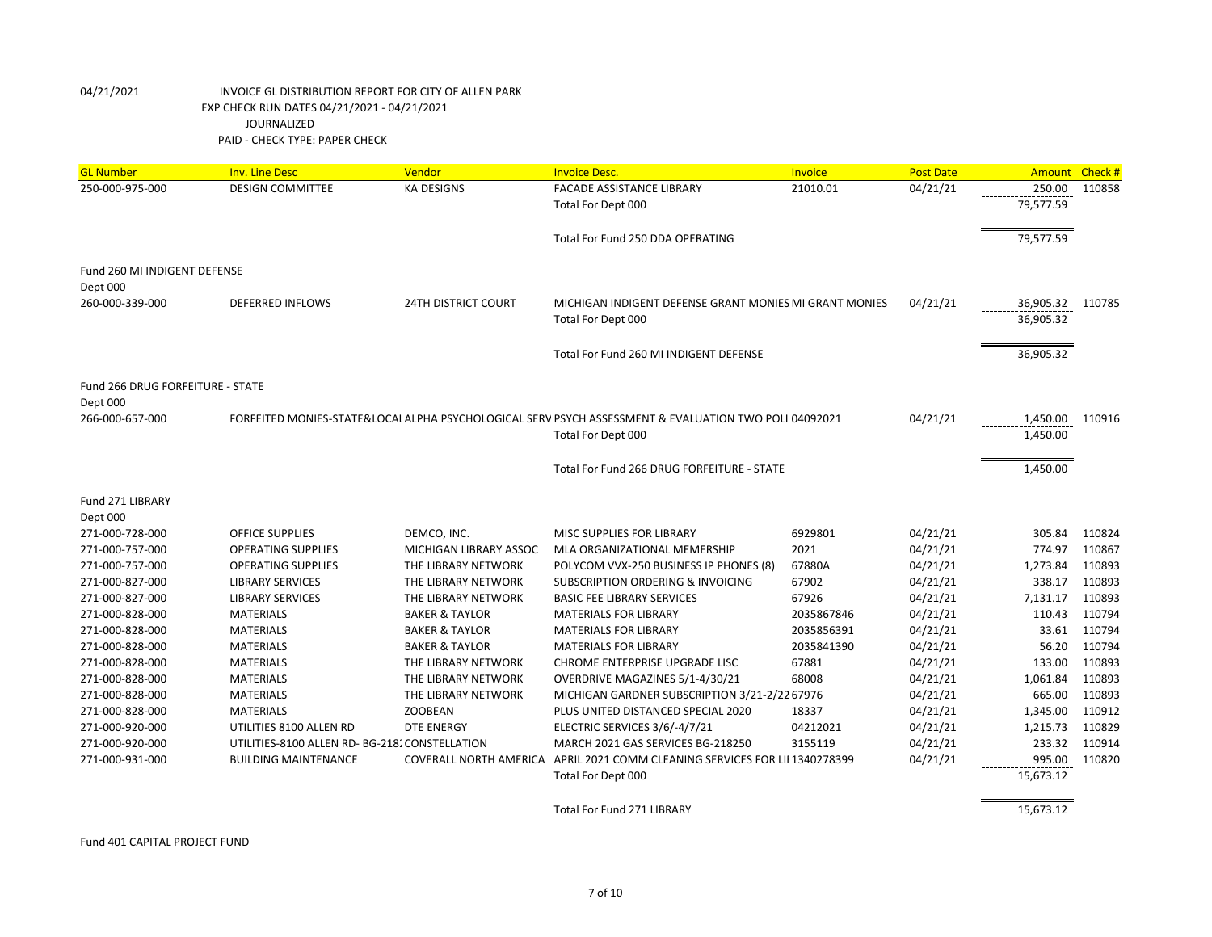| <b>GL Number</b>                 | <b>Inv. Line Desc</b>                          | Vendor                     | <b>Invoice Desc.</b>                                                                                  | Invoice    | <b>Post Date</b> | Amount Check # |        |
|----------------------------------|------------------------------------------------|----------------------------|-------------------------------------------------------------------------------------------------------|------------|------------------|----------------|--------|
| 250-000-975-000                  | <b>DESIGN COMMITTEE</b>                        | <b>KA DESIGNS</b>          | <b>FACADE ASSISTANCE LIBRARY</b>                                                                      | 21010.01   | 04/21/21         | 250.00         | 110858 |
|                                  |                                                |                            | Total For Dept 000                                                                                    |            |                  | 79,577.59      |        |
|                                  |                                                |                            |                                                                                                       |            |                  |                |        |
|                                  |                                                |                            | Total For Fund 250 DDA OPERATING                                                                      |            |                  | 79,577.59      |        |
| Fund 260 MI INDIGENT DEFENSE     |                                                |                            |                                                                                                       |            |                  |                |        |
| Dept 000                         |                                                |                            |                                                                                                       |            |                  |                |        |
| 260-000-339-000                  | <b>DEFERRED INFLOWS</b>                        | <b>24TH DISTRICT COURT</b> | MICHIGAN INDIGENT DEFENSE GRANT MONIES MI GRANT MONIES                                                |            | 04/21/21         | 36,905.32      | 110785 |
|                                  |                                                |                            | Total For Dept 000                                                                                    |            |                  | 36,905.32      |        |
|                                  |                                                |                            |                                                                                                       |            |                  |                |        |
|                                  |                                                |                            | Total For Fund 260 MI INDIGENT DEFENSE                                                                |            |                  | 36,905.32      |        |
|                                  |                                                |                            |                                                                                                       |            |                  |                |        |
| Fund 266 DRUG FORFEITURE - STATE |                                                |                            |                                                                                                       |            |                  |                |        |
| Dept 000                         |                                                |                            |                                                                                                       |            |                  |                |        |
| 266-000-657-000                  |                                                |                            | FORFEITED MONIES-STATE&LOCAI ALPHA PSYCHOLOGICAL SERV PSYCH ASSESSMENT & EVALUATION TWO POLI 04092021 |            | 04/21/21         | 1,450.00       | 110916 |
|                                  |                                                |                            | Total For Dept 000                                                                                    |            |                  | 1,450.00       |        |
|                                  |                                                |                            |                                                                                                       |            |                  |                |        |
|                                  |                                                |                            | Total For Fund 266 DRUG FORFEITURE - STATE                                                            |            |                  | 1,450.00       |        |
| Fund 271 LIBRARY                 |                                                |                            |                                                                                                       |            |                  |                |        |
| Dept 000                         |                                                |                            |                                                                                                       |            |                  |                |        |
| 271-000-728-000                  | <b>OFFICE SUPPLIES</b>                         | DEMCO. INC.                | MISC SUPPLIES FOR LIBRARY                                                                             | 6929801    | 04/21/21         | 305.84         | 110824 |
| 271-000-757-000                  | <b>OPERATING SUPPLIES</b>                      | MICHIGAN LIBRARY ASSOC     | MLA ORGANIZATIONAL MEMERSHIP                                                                          | 2021       | 04/21/21         | 774.97         | 110867 |
| 271-000-757-000                  | <b>OPERATING SUPPLIES</b>                      | THE LIBRARY NETWORK        | POLYCOM VVX-250 BUSINESS IP PHONES (8)                                                                | 67880A     | 04/21/21         | 1,273.84       | 110893 |
| 271-000-827-000                  | <b>LIBRARY SERVICES</b>                        | THE LIBRARY NETWORK        | <b>SUBSCRIPTION ORDERING &amp; INVOICING</b>                                                          | 67902      | 04/21/21         | 338.17         | 110893 |
| 271-000-827-000                  | <b>LIBRARY SERVICES</b>                        | THE LIBRARY NETWORK        | <b>BASIC FEE LIBRARY SERVICES</b>                                                                     | 67926      | 04/21/21         | 7,131.17       | 110893 |
| 271-000-828-000                  | <b>MATERIALS</b>                               | <b>BAKER &amp; TAYLOR</b>  | <b>MATERIALS FOR LIBRARY</b>                                                                          | 2035867846 | 04/21/21         | 110.43         | 110794 |
| 271-000-828-000                  | <b>MATERIALS</b>                               | <b>BAKER &amp; TAYLOR</b>  | <b>MATERIALS FOR LIBRARY</b>                                                                          | 2035856391 | 04/21/21         | 33.61          | 110794 |
| 271-000-828-000                  | <b>MATERIALS</b>                               | <b>BAKER &amp; TAYLOR</b>  | <b>MATERIALS FOR LIBRARY</b>                                                                          | 2035841390 | 04/21/21         | 56.20          | 110794 |
| 271-000-828-000                  | <b>MATERIALS</b>                               | THE LIBRARY NETWORK        | CHROME ENTERPRISE UPGRADE LISC                                                                        | 67881      | 04/21/21         | 133.00         | 110893 |
| 271-000-828-000                  | <b>MATERIALS</b>                               | THE LIBRARY NETWORK        | OVERDRIVE MAGAZINES 5/1-4/30/21                                                                       | 68008      | 04/21/21         | 1,061.84       | 110893 |
| 271-000-828-000                  | <b>MATERIALS</b>                               | THE LIBRARY NETWORK        | MICHIGAN GARDNER SUBSCRIPTION 3/21-2/22 67976                                                         |            | 04/21/21         | 665.00         | 110893 |
| 271-000-828-000                  | <b>MATERIALS</b>                               | <b>ZOOBEAN</b>             | PLUS UNITED DISTANCED SPECIAL 2020                                                                    | 18337      | 04/21/21         | 1,345.00       | 110912 |
| 271-000-920-000                  | UTILITIES 8100 ALLEN RD                        | <b>DTE ENERGY</b>          | ELECTRIC SERVICES 3/6/-4/7/21                                                                         | 04212021   | 04/21/21         | 1,215.73       | 110829 |
| 271-000-920-000                  | UTILITIES-8100 ALLEN RD- BG-218. CONSTELLATION |                            | MARCH 2021 GAS SERVICES BG-218250                                                                     | 3155119    | 04/21/21         | 233.32         | 110914 |
| 271-000-931-000                  | <b>BUILDING MAINTENANCE</b>                    |                            | COVERALL NORTH AMERICA APRIL 2021 COMM CLEANING SERVICES FOR LII 1340278399                           |            | 04/21/21         | 995.00         | 110820 |
|                                  |                                                |                            | Total For Dept 000                                                                                    |            |                  | 15,673.12      |        |
|                                  |                                                |                            |                                                                                                       |            |                  |                |        |
|                                  |                                                |                            | <b>Total For Fund 271 LIBRARY</b>                                                                     |            |                  | 15,673.12      |        |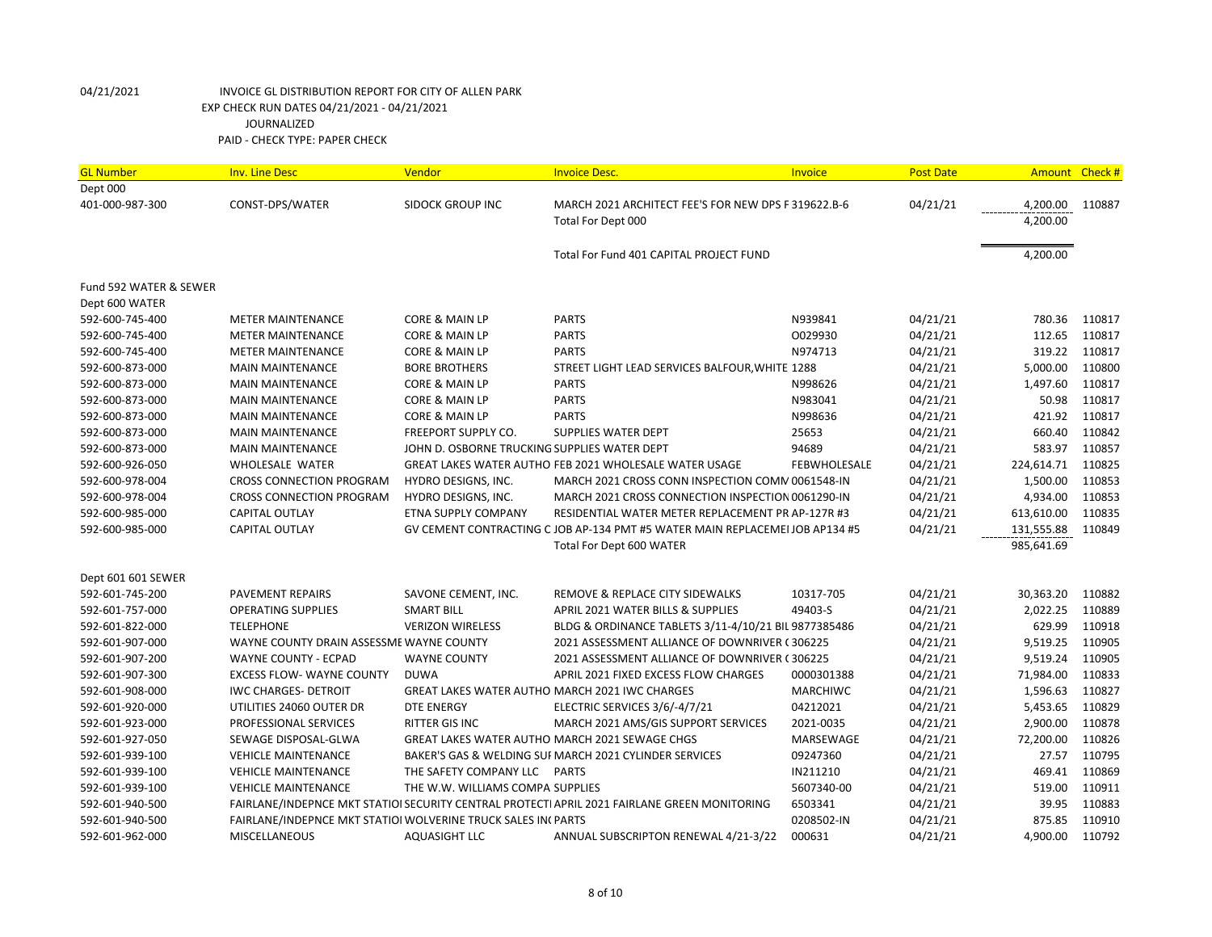| <b>GL Number</b>       | <b>Inv. Line Desc</b>                                        | Vendor                                       | <b>Invoice Desc.</b>                                                                         | Invoice         | <b>Post Date</b> |            | Amount Check # |
|------------------------|--------------------------------------------------------------|----------------------------------------------|----------------------------------------------------------------------------------------------|-----------------|------------------|------------|----------------|
| Dept 000               |                                                              |                                              |                                                                                              |                 |                  |            |                |
| 401-000-987-300        | CONST-DPS/WATER                                              | <b>SIDOCK GROUP INC</b>                      | MARCH 2021 ARCHITECT FEE'S FOR NEW DPS F 319622.B-6                                          |                 | 04/21/21         | 4,200.00   | 110887         |
|                        |                                                              |                                              | Total For Dept 000                                                                           |                 |                  | 4,200.00   |                |
|                        |                                                              |                                              | Total For Fund 401 CAPITAL PROJECT FUND                                                      |                 |                  | 4,200.00   |                |
| Fund 592 WATER & SEWER |                                                              |                                              |                                                                                              |                 |                  |            |                |
| Dept 600 WATER         |                                                              |                                              |                                                                                              |                 |                  |            |                |
| 592-600-745-400        | <b>METER MAINTENANCE</b>                                     | CORE & MAIN LP                               | <b>PARTS</b>                                                                                 | N939841         | 04/21/21         | 780.36     | 110817         |
| 592-600-745-400        | <b>METER MAINTENANCE</b>                                     | <b>CORE &amp; MAIN LP</b>                    | <b>PARTS</b>                                                                                 | 0029930         | 04/21/21         | 112.65     | 110817         |
| 592-600-745-400        | <b>METER MAINTENANCE</b>                                     | CORE & MAIN LP                               | <b>PARTS</b>                                                                                 | N974713         | 04/21/21         | 319.22     | 110817         |
| 592-600-873-000        | <b>MAIN MAINTENANCE</b>                                      | <b>BORE BROTHERS</b>                         | STREET LIGHT LEAD SERVICES BALFOUR, WHITE 1288                                               |                 | 04/21/21         | 5,000.00   | 110800         |
| 592-600-873-000        | <b>MAIN MAINTENANCE</b>                                      | <b>CORE &amp; MAIN LP</b>                    | <b>PARTS</b>                                                                                 | N998626         | 04/21/21         | 1,497.60   | 110817         |
| 592-600-873-000        | <b>MAIN MAINTENANCE</b>                                      | <b>CORE &amp; MAIN LP</b>                    | <b>PARTS</b>                                                                                 | N983041         | 04/21/21         | 50.98      | 110817         |
| 592-600-873-000        | <b>MAIN MAINTENANCE</b>                                      | <b>CORE &amp; MAIN LP</b>                    | <b>PARTS</b>                                                                                 | N998636         | 04/21/21         | 421.92     | 110817         |
| 592-600-873-000        | <b>MAIN MAINTENANCE</b>                                      | FREEPORT SUPPLY CO.                          | SUPPLIES WATER DEPT                                                                          | 25653           | 04/21/21         | 660.40     | 110842         |
| 592-600-873-000        | <b>MAIN MAINTENANCE</b>                                      | JOHN D. OSBORNE TRUCKING SUPPLIES WATER DEPT |                                                                                              | 94689           | 04/21/21         | 583.97     | 110857         |
| 592-600-926-050        | <b>WHOLESALE WATER</b>                                       |                                              | GREAT LAKES WATER AUTHO FEB 2021 WHOLESALE WATER USAGE                                       | FEBWHOLESALE    | 04/21/21         | 224,614.71 | 110825         |
| 592-600-978-004        | <b>CROSS CONNECTION PROGRAM</b>                              | HYDRO DESIGNS, INC.                          | MARCH 2021 CROSS CONN INSPECTION COMM 0061548-IN                                             |                 | 04/21/21         | 1,500.00   | 110853         |
| 592-600-978-004        | <b>CROSS CONNECTION PROGRAM</b>                              | HYDRO DESIGNS, INC.                          | MARCH 2021 CROSS CONNECTION INSPECTION 0061290-IN                                            |                 | 04/21/21         | 4,934.00   | 110853         |
| 592-600-985-000        | CAPITAL OUTLAY                                               | ETNA SUPPLY COMPANY                          | RESIDENTIAL WATER METER REPLACEMENT PR AP-127R #3                                            |                 | 04/21/21         | 613,610.00 | 110835         |
| 592-600-985-000        | CAPITAL OUTLAY                                               |                                              | GV CEMENT CONTRACTING C JOB AP-134 PMT #5 WATER MAIN REPLACEMEI JOB AP134 #5                 |                 | 04/21/21         | 131,555.88 | 110849         |
|                        |                                                              |                                              | Total For Dept 600 WATER                                                                     |                 |                  | 985,641.69 |                |
| Dept 601 601 SEWER     |                                                              |                                              |                                                                                              |                 |                  |            |                |
| 592-601-745-200        | <b>PAVEMENT REPAIRS</b>                                      | SAVONE CEMENT, INC.                          | <b>REMOVE &amp; REPLACE CITY SIDEWALKS</b>                                                   | 10317-705       | 04/21/21         | 30,363.20  | 110882         |
| 592-601-757-000        | <b>OPERATING SUPPLIES</b>                                    | <b>SMART BILL</b>                            | APRIL 2021 WATER BILLS & SUPPLIES                                                            | 49403-S         | 04/21/21         | 2,022.25   | 110889         |
| 592-601-822-000        | <b>TELEPHONE</b>                                             | <b>VERIZON WIRELESS</b>                      | BLDG & ORDINANCE TABLETS 3/11-4/10/21 BIL 9877385486                                         |                 | 04/21/21         | 629.99     | 110918         |
| 592-601-907-000        | WAYNE COUNTY DRAIN ASSESSME WAYNE COUNTY                     |                                              | 2021 ASSESSMENT ALLIANCE OF DOWNRIVER (306225                                                |                 | 04/21/21         | 9,519.25   | 110905         |
| 592-601-907-200        | WAYNE COUNTY - ECPAD                                         | <b>WAYNE COUNTY</b>                          | 2021 ASSESSMENT ALLIANCE OF DOWNRIVER (306225                                                |                 | 04/21/21         | 9,519.24   | 110905         |
| 592-601-907-300        | <b>EXCESS FLOW- WAYNE COUNTY</b>                             | <b>DUWA</b>                                  | APRIL 2021 FIXED EXCESS FLOW CHARGES                                                         | 0000301388      | 04/21/21         | 71,984.00  | 110833         |
| 592-601-908-000        | <b>IWC CHARGES- DETROIT</b>                                  |                                              | GREAT LAKES WATER AUTHO MARCH 2021 IWC CHARGES                                               | <b>MARCHIWC</b> | 04/21/21         | 1,596.63   | 110827         |
| 592-601-920-000        | UTILITIES 24060 OUTER DR                                     | <b>DTE ENERGY</b>                            | ELECTRIC SERVICES 3/6/-4/7/21                                                                | 04212021        | 04/21/21         | 5,453.65   | 110829         |
| 592-601-923-000        | PROFESSIONAL SERVICES                                        | <b>RITTER GIS INC</b>                        | MARCH 2021 AMS/GIS SUPPORT SERVICES                                                          | 2021-0035       | 04/21/21         | 2,900.00   | 110878         |
| 592-601-927-050        | SEWAGE DISPOSAL-GLWA                                         |                                              | <b>GREAT LAKES WATER AUTHO MARCH 2021 SEWAGE CHGS</b>                                        | MARSEWAGE       | 04/21/21         | 72,200.00  | 110826         |
| 592-601-939-100        | <b>VEHICLE MAINTENANCE</b>                                   |                                              | BAKER'S GAS & WELDING SUI MARCH 2021 CYLINDER SERVICES                                       | 09247360        | 04/21/21         | 27.57      | 110795         |
| 592-601-939-100        | <b>VEHICLE MAINTENANCE</b>                                   | THE SAFETY COMPANY LLC PARTS                 |                                                                                              | IN211210        | 04/21/21         | 469.41     | 110869         |
| 592-601-939-100        | <b>VEHICLE MAINTENANCE</b>                                   | THE W.W. WILLIAMS COMPA SUPPLIES             |                                                                                              | 5607340-00      | 04/21/21         | 519.00     | 110911         |
| 592-601-940-500        |                                                              |                                              | FAIRLANE/INDEPNCE MKT STATIOI SECURITY CENTRAL PROTECTI APRIL 2021 FAIRLANE GREEN MONITORING | 6503341         | 04/21/21         | 39.95      | 110883         |
| 592-601-940-500        | FAIRLANE/INDEPNCE MKT STATIOI WOLVERINE TRUCK SALES IN(PARTS |                                              |                                                                                              | 0208502-IN      | 04/21/21         | 875.85     | 110910         |
| 592-601-962-000        | <b>MISCELLANEOUS</b>                                         | <b>AQUASIGHT LLC</b>                         | ANNUAL SUBSCRIPTON RENEWAL 4/21-3/22                                                         | 000631          | 04/21/21         | 4,900.00   | 110792         |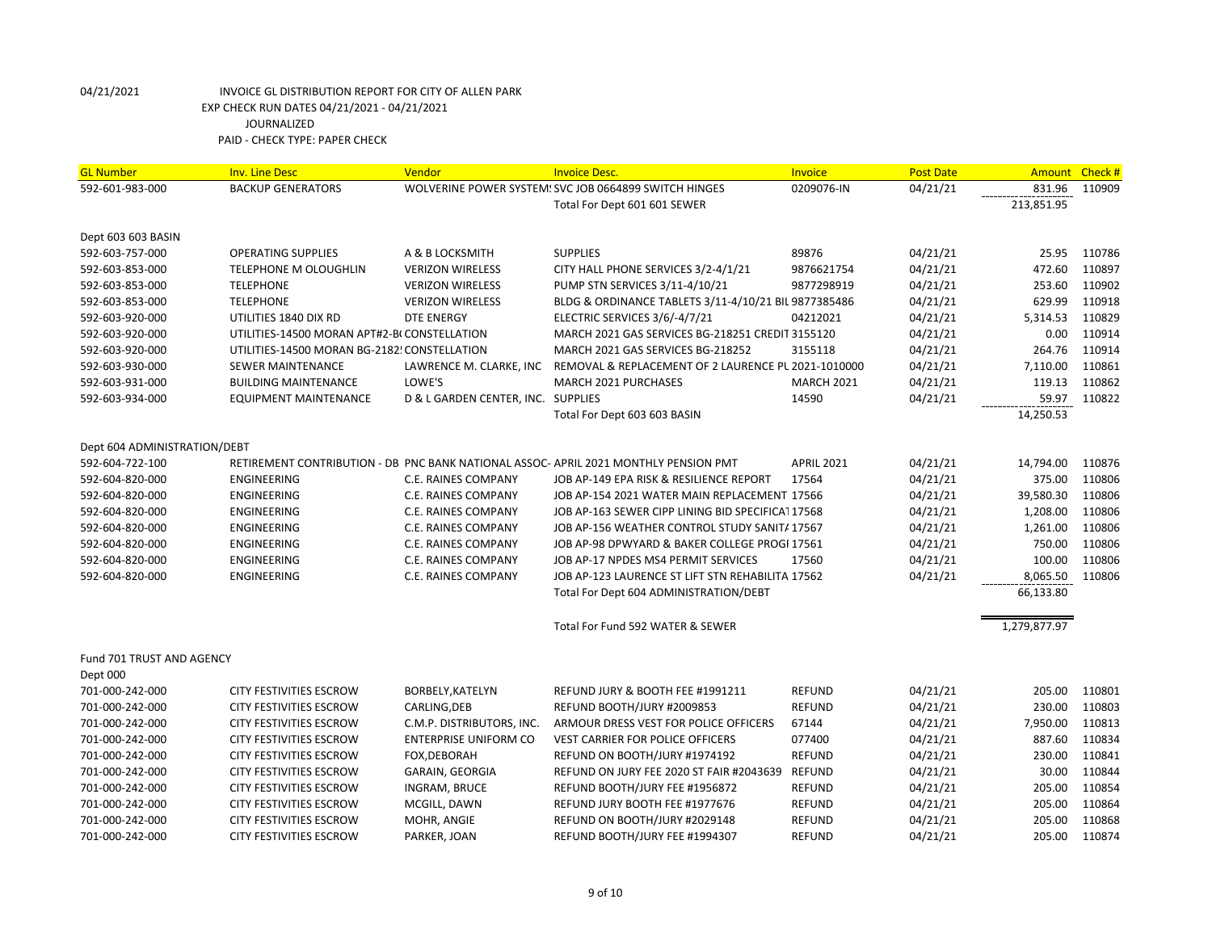| <b>GL Number</b>             | <b>Inv. Line Desc</b>                        | Vendor                             | <b>Invoice Desc.</b>                                                                | Invoice           | <b>Post Date</b> | <b>Amount</b> | Check# |
|------------------------------|----------------------------------------------|------------------------------------|-------------------------------------------------------------------------------------|-------------------|------------------|---------------|--------|
| 592-601-983-000              | <b>BACKUP GENERATORS</b>                     |                                    | WOLVERINE POWER SYSTEM: SVC JOB 0664899 SWITCH HINGES                               | 0209076-IN        | 04/21/21         | 831.96        | 110909 |
|                              |                                              |                                    | Total For Dept 601 601 SEWER                                                        |                   |                  | 213,851.95    |        |
| Dept 603 603 BASIN           |                                              |                                    |                                                                                     |                   |                  |               |        |
| 592-603-757-000              | <b>OPERATING SUPPLIES</b>                    | A & B LOCKSMITH                    | <b>SUPPLIES</b>                                                                     | 89876             | 04/21/21         | 25.95         | 110786 |
| 592-603-853-000              | <b>TELEPHONE M OLOUGHLIN</b>                 | <b>VERIZON WIRELESS</b>            | CITY HALL PHONE SERVICES 3/2-4/1/21                                                 | 9876621754        | 04/21/21         | 472.60        | 110897 |
| 592-603-853-000              | <b>TELEPHONE</b>                             | <b>VERIZON WIRELESS</b>            | PUMP STN SERVICES 3/11-4/10/21                                                      | 9877298919        | 04/21/21         | 253.60        | 110902 |
| 592-603-853-000              | <b>TELEPHONE</b>                             | <b>VERIZON WIRELESS</b>            | BLDG & ORDINANCE TABLETS 3/11-4/10/21 BIL 9877385486                                |                   | 04/21/21         | 629.99        | 110918 |
| 592-603-920-000              | UTILITIES 1840 DIX RD                        | <b>DTE ENERGY</b>                  | ELECTRIC SERVICES 3/6/-4/7/21                                                       | 04212021          | 04/21/21         | 5,314.53      | 110829 |
| 592-603-920-000              | UTILITIES-14500 MORAN APT#2-BI CONSTELLATION |                                    | MARCH 2021 GAS SERVICES BG-218251 CREDIT 3155120                                    |                   | 04/21/21         | 0.00          | 110914 |
| 592-603-920-000              | UTILITIES-14500 MORAN BG-2182! CONSTELLATION |                                    | MARCH 2021 GAS SERVICES BG-218252                                                   | 3155118           | 04/21/21         | 264.76        | 110914 |
| 592-603-930-000              | <b>SEWER MAINTENANCE</b>                     | LAWRENCE M. CLARKE, INC            | REMOVAL & REPLACEMENT OF 2 LAURENCE PL 2021-1010000                                 |                   | 04/21/21         | 7,110.00      | 110861 |
| 592-603-931-000              | <b>BUILDING MAINTENANCE</b>                  | LOWE'S                             | MARCH 2021 PURCHASES                                                                | <b>MARCH 2021</b> | 04/21/21         | 119.13        | 110862 |
| 592-603-934-000              | <b>EQUIPMENT MAINTENANCE</b>                 | D & L GARDEN CENTER, INC. SUPPLIES |                                                                                     | 14590             | 04/21/21         | 59.97         | 110822 |
|                              |                                              |                                    | Total For Dept 603 603 BASIN                                                        |                   |                  | 14,250.53     |        |
| Dept 604 ADMINISTRATION/DEBT |                                              |                                    |                                                                                     |                   |                  |               |        |
| 592-604-722-100              |                                              |                                    | RETIREMENT CONTRIBUTION - DB PNC BANK NATIONAL ASSOC-APRIL 2021 MONTHLY PENSION PMT | <b>APRIL 2021</b> | 04/21/21         | 14,794.00     | 110876 |
| 592-604-820-000              | <b>ENGINEERING</b>                           | C.E. RAINES COMPANY                | JOB AP-149 EPA RISK & RESILIENCE REPORT                                             | 17564             | 04/21/21         | 375.00        | 110806 |
| 592-604-820-000              | <b>ENGINEERING</b>                           | C.E. RAINES COMPANY                | JOB AP-154 2021 WATER MAIN REPLACEMENT 17566                                        |                   | 04/21/21         | 39,580.30     | 110806 |
| 592-604-820-000              | <b>ENGINEERING</b>                           | C.E. RAINES COMPANY                | JOB AP-163 SEWER CIPP LINING BID SPECIFICA117568                                    |                   | 04/21/21         | 1,208.00      | 110806 |
| 592-604-820-000              | ENGINEERING                                  | C.E. RAINES COMPANY                | JOB AP-156 WEATHER CONTROL STUDY SANITA 17567                                       |                   | 04/21/21         | 1,261.00      | 110806 |
| 592-604-820-000              | ENGINEERING                                  | C.E. RAINES COMPANY                | JOB AP-98 DPWYARD & BAKER COLLEGE PROGI 17561                                       |                   | 04/21/21         | 750.00        | 110806 |
| 592-604-820-000              | <b>ENGINEERING</b>                           | <b>C.E. RAINES COMPANY</b>         | JOB AP-17 NPDES MS4 PERMIT SERVICES                                                 | 17560             | 04/21/21         | 100.00        | 110806 |
| 592-604-820-000              | <b>ENGINEERING</b>                           | C.E. RAINES COMPANY                | JOB AP-123 LAURENCE ST LIFT STN REHABILITA 17562                                    |                   | 04/21/21         | 8,065.50      | 110806 |
|                              |                                              |                                    | Total For Dept 604 ADMINISTRATION/DEBT                                              |                   |                  | 66,133.80     |        |
|                              |                                              |                                    | Total For Fund 592 WATER & SEWER                                                    |                   |                  | 1,279,877.97  |        |
| Fund 701 TRUST AND AGENCY    |                                              |                                    |                                                                                     |                   |                  |               |        |
| Dept 000                     |                                              |                                    |                                                                                     |                   |                  |               |        |
| 701-000-242-000              | CITY FESTIVITIES ESCROW                      | BORBELY, KATELYN                   | REFUND JURY & BOOTH FEE #1991211                                                    | <b>REFUND</b>     | 04/21/21         | 205.00        | 110801 |
| 701-000-242-000              | CITY FESTIVITIES ESCROW                      | CARLING, DEB                       | REFUND BOOTH/JURY #2009853                                                          | REFUND            | 04/21/21         | 230.00        | 110803 |
| 701-000-242-000              | CITY FESTIVITIES ESCROW                      | C.M.P. DISTRIBUTORS, INC.          | ARMOUR DRESS VEST FOR POLICE OFFICERS                                               | 67144             | 04/21/21         | 7,950.00      | 110813 |
| 701-000-242-000              | CITY FESTIVITIES ESCROW                      | <b>ENTERPRISE UNIFORM CO</b>       | <b>VEST CARRIER FOR POLICE OFFICERS</b>                                             | 077400            | 04/21/21         | 887.60        | 110834 |
| 701-000-242-000              | CITY FESTIVITIES ESCROW                      | FOX, DEBORAH                       | REFUND ON BOOTH/JURY #1974192                                                       | REFUND            | 04/21/21         | 230.00        | 110841 |
| 701-000-242-000              | <b>CITY FESTIVITIES ESCROW</b>               | <b>GARAIN, GEORGIA</b>             | REFUND ON JURY FEE 2020 ST FAIR #2043639                                            | <b>REFUND</b>     | 04/21/21         | 30.00         | 110844 |
| 701-000-242-000              | <b>CITY FESTIVITIES ESCROW</b>               | INGRAM, BRUCE                      | REFUND BOOTH/JURY FEE #1956872                                                      | <b>REFUND</b>     | 04/21/21         | 205.00        | 110854 |
| 701-000-242-000              | CITY FESTIVITIES ESCROW                      | MCGILL, DAWN                       | REFUND JURY BOOTH FEE #1977676                                                      | REFUND            | 04/21/21         | 205.00        | 110864 |
| 701-000-242-000              | CITY FESTIVITIES ESCROW                      | MOHR, ANGIE                        | REFUND ON BOOTH/JURY #2029148                                                       | REFUND            | 04/21/21         | 205.00        | 110868 |
| 701-000-242-000              | CITY FESTIVITIES ESCROW                      | PARKER, JOAN                       | REFUND BOOTH/JURY FEE #1994307                                                      | REFUND            | 04/21/21         | 205.00        | 110874 |